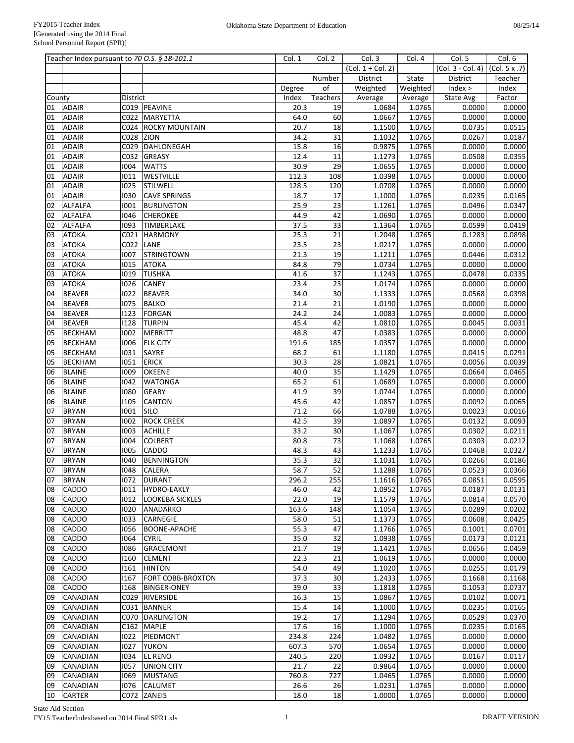|          | Teacher Index pursuant to 70 O.S. § 18-201.1 |              |                              | Col. 1       | Col. 2          | Col.3                  | Col. 4           | Col. 5                              | Col. 6           |
|----------|----------------------------------------------|--------------|------------------------------|--------------|-----------------|------------------------|------------------|-------------------------------------|------------------|
|          |                                              |              |                              |              |                 | $(Col. 1 \div Col. 2)$ |                  | $(Col. 3 - Col. 4)$ $(Col. 5 x .7)$ |                  |
|          |                                              |              |                              |              | Number          | District               | State            | District                            | Teacher          |
|          |                                              |              |                              | Degree       | of              | Weighted               | Weighted         | Index >                             | Index            |
| County   |                                              | District     |                              | Index        | Teachers        | Average                | Average          | State Avg                           | Factor           |
| 01       | <b>ADAIR</b>                                 |              | C019 PEAVINE                 | 20.3         | 19              | 1.0684                 | 1.0765           | 0.0000                              | 0.0000           |
| 01       | <b>ADAIR</b>                                 |              | C022 MARYETTA                | 64.0         | 60              | 1.0667                 | 1.0765           | 0.0000                              | 0.0000           |
| 01       | <b>ADAIR</b>                                 |              | C024 ROCKY MOUNTAIN          | 20.7         | 18              | 1.1500                 | 1.0765           | 0.0735                              | 0.0515           |
| 01       | <b>ADAIR</b>                                 | C028 ZION    |                              | 34.2         | 31              | 1.1032                 | 1.0765           | 0.0267                              | 0.0187           |
| 01       | <b>ADAIR</b>                                 | C029         | DAHLONEGAH                   | 15.8         | 16              | 0.9875                 | 1.0765           | 0.0000                              | 0.0000           |
| 01       | <b>ADAIR</b>                                 | C032         | <b>GREASY</b>                | 12.4         | 11              | 1.1273                 | 1.0765           | 0.0508                              | 0.0355           |
| 01       | <b>ADAIR</b>                                 | 1004         | <b>WATTS</b>                 | 30.9         | 29              | 1.0655                 | 1.0765           | 0.0000                              | 0.0000           |
| 01       | <b>ADAIR</b>                                 | 1011         | <b>WESTVILLE</b>             | 112.3        | 108             | 1.0398                 | 1.0765           | 0.0000                              | 0.0000           |
| 01       | ADAIR                                        | 1025         | <b>STILWELL</b>              | 128.5        | 120             | 1.0708                 | 1.0765           | 0.0000                              | 0.0000           |
| 01       | <b>ADAIR</b>                                 | 1030         | <b>CAVE SPRINGS</b>          | 18.7         | 17              | 1.1000                 | 1.0765           | 0.0235                              | 0.0165           |
| 02       | <b>ALFALFA</b>                               | 1001         | <b>BURLINGTON</b>            | 25.9         | 23              | 1.1261                 | 1.0765           | 0.0496                              | 0.0347           |
| 02       | <b>ALFALFA</b>                               | 1046         | <b>CHEROKEE</b>              | 44.9         | 42              | 1.0690                 | 1.0765           | 0.0000                              | 0.0000           |
| 02       | <b>ALFALFA</b>                               | 1093         | TIMBERLAKE                   | 37.5         | 33              | 1.1364                 | 1.0765           | 0.0599                              | 0.0419           |
| 03       | <b>ATOKA</b>                                 | C021         | <b>HARMONY</b>               | 25.3         | 21              | 1.2048                 | 1.0765           | 0.1283                              | 0.0898           |
| 03       | <b>ATOKA</b>                                 | C022         | LANE                         | 23.5         | $\overline{23}$ | 1.0217                 | 1.0765           | 0.0000                              | 0.0000           |
| 03       | <b>ATOKA</b>                                 | 1007         | <b>STRINGTOWN</b>            | 21.3         | 19              | 1.1211                 | 1.0765           | 0.0446                              | 0.0312           |
| 03       | <b>ATOKA</b>                                 | 1015         | <b>ATOKA</b>                 | 84.8         | 79              | 1.0734                 | 1.0765           | 0.0000                              | 0.0000           |
| 03       | <b>ATOKA</b>                                 | 1019         | <b>TUSHKA</b>                | 41.6         | 37              | 1.1243                 | 1.0765           | 0.0478                              | 0.0335           |
| 03       | <b>ATOKA</b>                                 | 1026         | <b>CANEY</b>                 | 23.4         | 23              | 1.0174                 | 1.0765           | 0.0000                              | 0.0000           |
| 04       | <b>BEAVER</b>                                | 1022         | <b>BEAVER</b>                | 34.0         | 30              | 1.1333                 | 1.0765           | 0.0568                              | 0.0398           |
| 04       | <b>BEAVER</b>                                | 1075         | <b>BALKO</b>                 | 21.4         | 21              | 1.0190                 | 1.0765           | 0.0000                              | 0.0000           |
| 04       | <b>BEAVER</b>                                | 1123         | FORGAN                       | 24.2         | 24              | 1.0083                 | 1.0765           | 0.0000                              | 0.0000           |
| 04       | <b>BEAVER</b>                                | 1128         | <b>TURPIN</b>                | 45.4         | 42              | 1.0810                 | 1.0765           | 0.0045                              | 0.0031           |
| 05       | <b>BECKHAM</b>                               | 1002         | MERRITT                      | 48.8         | 47              | 1.0383                 | 1.0765           | 0.0000                              | 0.0000           |
| 05       | <b>BECKHAM</b>                               | 1006         | <b>ELK CITY</b>              | 191.6        | 185             | 1.0357                 | 1.0765           | 0.0000                              | 0.0000           |
| 05       | <b>BECKHAM</b>                               | 1031         | SAYRE                        | 68.2         | 61              | 1.1180                 | 1.0765           | 0.0415                              | 0.0291           |
| 05       | <b>BECKHAM</b>                               | 1051         | <b>ERICK</b>                 | 30.3         | 28              | 1.0821                 | 1.0765           | 0.0056                              | 0.0039           |
| 06       | <b>BLAINE</b>                                | 1009         | <b>OKEENE</b>                | 40.0         | $\overline{35}$ | 1.1429                 | 1.0765           | 0.0664                              | 0.0465           |
| 06       | <b>BLAINE</b>                                | 1042         | <b>WATONGA</b>               | 65.2         | 61              | 1.0689                 | 1.0765           | 0.0000                              | 0.0000           |
| 06<br>06 | <b>BLAINE</b>                                | 1080         | <b>GEARY</b>                 | 41.9<br>45.6 | 39<br>42        | 1.0744                 | 1.0765           | 0.0000<br>0.0092                    | 0.0000           |
| 07       | <b>BLAINE</b><br><b>BRYAN</b>                | 1105<br>1001 | <b>CANTON</b><br><b>SILO</b> | 71.2         | 66              | 1.0857<br>1.0788       | 1.0765<br>1.0765 | 0.0023                              | 0.0065<br>0.0016 |
| 07       | <b>BRYAN</b>                                 | 1002         | <b>ROCK CREEK</b>            | 42.5         | 39              | 1.0897                 | 1.0765           | 0.0132                              | 0.0093           |
| 07       | <b>BRYAN</b>                                 | 1003         | <b>ACHILLE</b>               | 33.2         | 30              | 1.1067                 | 1.0765           | 0.0302                              | 0.0211           |
| 07       | <b>BRYAN</b>                                 | 1004         | <b>COLBERT</b>               | 80.8         | 73              | 1.1068                 | 1.0765           | 0.0303                              | 0.0212           |
| 07       | <b>BRYAN</b>                                 | 1005         | <b>CADDO</b>                 | 48.3         | 43              | 1.1233                 | 1.0765           | 0.0468                              | 0.0327           |
| 07       | <b>BRYAN</b>                                 | 1040         | <b>BENNINGTON</b>            | 35.3         | 32              | 1.1031                 | 1.0765           | 0.0266                              | 0.0186           |
| 07       | <b>BRYAN</b>                                 | 1048         | <b>CALERA</b>                | 58.7         | 52              | 1.1288                 | 1.0765           | 0.0523                              | 0.0366           |
| 07       | <b>BRYAN</b>                                 | 1072         | <b>DURANT</b>                | 296.2        | 255             | 1.1616                 | 1.0765           | 0.0851                              | 0.0595           |
| 08       | <b>CADDO</b>                                 | 1011         | HYDRO-EAKLY                  | 46.0         | 42              | 1.0952                 | 1.0765           | 0.0187                              | 0.0131           |
| 08       | <b>CADDO</b>                                 | 1012         | <b>LOOKEBA SICKLES</b>       | 22.0         | 19              | 1.1579                 | 1.0765           | 0.0814                              | 0.0570           |
| 08       | CADDO                                        | 1020         | ANADARKO                     | 163.6        | 148             | 1.1054                 | 1.0765           | 0.0289                              | 0.0202           |
| 08       | <b>CADDO</b>                                 | 1033         | <b>CARNEGIE</b>              | 58.0         | 51              | 1.1373                 | 1.0765           | 0.0608                              | 0.0425           |
| 08       | <b>CADDO</b>                                 | 1056         | <b>BOONE-APACHE</b>          | 55.3         | 47              | 1.1766                 | 1.0765           | 0.1001                              | 0.0701           |
| 08       | <b>CADDO</b>                                 | 1064         | <b>CYRIL</b>                 | 35.0         | 32              | 1.0938                 | 1.0765           | 0.0173                              | 0.0121           |
| 08       | CADDO                                        | 1086         | <b>GRACEMONT</b>             | 21.7         | 19              | 1.1421                 | 1.0765           | 0.0656                              | 0.0459           |
| 08       | <b>CADDO</b>                                 | 1160         | <b>CEMENT</b>                | 22.3         | 21              | 1.0619                 | 1.0765           | 0.0000                              | 0.0000           |
| 08       | <b>CADDO</b>                                 | 1161         | <b>HINTON</b>                | 54.0         | 49              | 1.1020                 | 1.0765           | 0.0255                              | 0.0179           |
| 08       | CADDO                                        | 1167         | FORT COBB-BROXTON            | 37.3         | 30              | 1.2433                 | 1.0765           | 0.1668                              | 0.1168           |
| 08       | CADDO                                        | 1168         | <b>BINGER-ONEY</b>           | 39.0         | 33              | 1.1818                 | 1.0765           | 0.1053                              | 0.0737           |
| 09       | <b>CANADIAN</b>                              |              | C029 RIVERSIDE               | 16.3         | 15              | 1.0867                 | 1.0765           | 0.0102                              | 0.0071           |
| 09       | CANADIAN                                     |              | C031 BANNER                  | 15.4         | 14              | 1.1000                 | 1.0765           | 0.0235                              | 0.0165           |
| 09       | CANADIAN                                     |              | C070 DARLINGTON              | 19.2         | 17              | 1.1294                 | 1.0765           | 0.0529                              | 0.0370           |
| 09       | CANADIAN                                     |              | C162 MAPLE                   | 17.6         | 16              | 1.1000                 | 1.0765           | 0.0235                              | 0.0165           |
| 09       | CANADIAN                                     | 1022         | PIEDMONT                     | 234.8        | 224             | 1.0482                 | 1.0765           | 0.0000                              | 0.0000           |
| 09       | CANADIAN                                     | 1027         | <b>YUKON</b>                 | 607.3        | 570             | 1.0654                 | 1.0765           | 0.0000                              | 0.0000           |
| 09       | CANADIAN                                     | 1034         | <b>EL RENO</b>               | 240.5        | 220             | 1.0932                 | 1.0765           | 0.0167                              | 0.0117           |
| 09       | CANADIAN                                     | 1057         | <b>UNION CITY</b>            | 21.7         | 22              | 0.9864                 | 1.0765           | 0.0000                              | 0.0000           |
| 09       | CANADIAN                                     | 1069         | <b>MUSTANG</b>               | 760.8        | 727             | 1.0465                 | 1.0765           | 0.0000                              | 0.0000           |
| 09       | CANADIAN                                     | 1076         | <b>CALUMET</b>               | 26.6         | 26              | 1.0231                 | 1.0765           | 0.0000                              | 0.0000           |
| 10       | <b>CARTER</b>                                |              | C072 ZANEIS                  | 18.0         | 18              | 1.0000                 | 1.0765           | 0.0000                              | 0.0000           |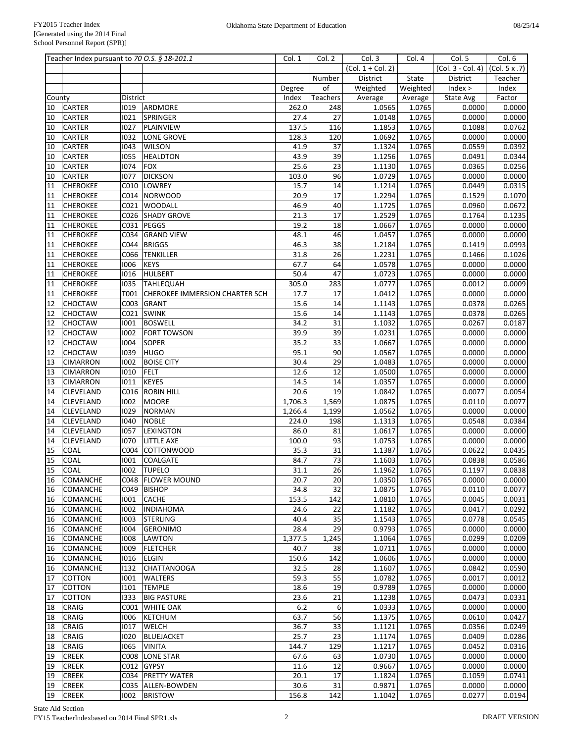|          | Teacher Index pursuant to 70 O.S. § 18-201.1 |              |                                | Col. 1        | Col. 2    | Col. 3                 | Col. 4           | Col. 5            | Col. 6                   |
|----------|----------------------------------------------|--------------|--------------------------------|---------------|-----------|------------------------|------------------|-------------------|--------------------------|
|          |                                              |              |                                |               |           | $(Col. 1 \div Col. 2)$ |                  | (Col. 3 - Col. 4) | $\overline{(Col. 5x.7)}$ |
|          |                                              |              |                                |               | Number    | District               | State            | District          | Teacher                  |
|          |                                              |              |                                | Degree        | of        | Weighted               | Weighted         | Index >           | Index                    |
| County   |                                              | District     |                                | Index         | Teachers  | Average                | Average          | State Avg         | Factor                   |
| 10       | <b>CARTER</b>                                | 1019         | ARDMORE                        | 262.0         | 248       | 1.0565                 | 1.0765           | 0.0000            | 0.0000                   |
| 10       | CARTER                                       | 1021         | SPRINGER                       | 27.4          | 27        | 1.0148                 | 1.0765           | 0.0000            | 0.0000                   |
| 10       | CARTER                                       | 1027         | PLAINVIEW                      | 137.5         | 116       | 1.1853                 | 1.0765           | 0.1088            | 0.0762                   |
| 10       | CARTER                                       | 1032         | LONE GROVE                     | 128.3         | 120       | 1.0692                 | 1.0765           | 0.0000            | 0.0000                   |
| 10       | <b>CARTER</b>                                | 1043         | <b>WILSON</b>                  | 41.9          | 37        | 1.1324                 | 1.0765           | 0.0559            | 0.0392                   |
| 10       | CARTER                                       | 1055         | <b>HEALDTON</b>                | 43.9          | 39        | 1.1256                 | 1.0765           | 0.0491            | 0.0344                   |
| 10       | CARTER                                       | 1074         | <b>FOX</b>                     | 25.6          | 23        | 1.1130                 | 1.0765           | 0.0365            | 0.0256                   |
| 10       | CARTER                                       | 1077<br>C010 | <b>DICKSON</b><br>LOWREY       | 103.0<br>15.7 | 96<br>14  | 1.0729                 | 1.0765           | 0.0000            | 0.0000                   |
| 11<br>11 | <b>CHEROKEE</b><br><b>CHEROKEE</b>           |              | C014 NORWOOD                   | 20.9          | 17        | 1.1214<br>1.2294       | 1.0765<br>1.0765 | 0.0449<br>0.1529  | 0.0315<br>0.1070         |
| 11       | <b>CHEROKEE</b>                              | C021         | <b>WOODALL</b>                 | 46.9          | 40        | 1.1725                 | 1.0765           | 0.0960            | 0.0672                   |
| 11       | <b>CHEROKEE</b>                              |              | C026 SHADY GROVE               | 21.3          | 17        | 1.2529                 | 1.0765           | 0.1764            | 0.1235                   |
| 11       | <b>CHEROKEE</b>                              | C031         | PEGGS                          | 19.2          | 18        | 1.0667                 | 1.0765           | 0.0000            | 0.0000                   |
| 11       | <b>CHEROKEE</b>                              | C034         | <b>GRAND VIEW</b>              | 48.1          | 46        | 1.0457                 | 1.0765           | 0.0000            | 0.0000                   |
| 11       | <b>CHEROKEE</b>                              | C044         | <b>BRIGGS</b>                  | 46.3          | 38        | 1.2184                 | 1.0765           | 0.1419            | 0.0993                   |
| 11       | <b>CHEROKEE</b>                              | C066         | <b>TENKILLER</b>               | 31.8          | 26        | 1.2231                 | 1.0765           | 0.1466            | 0.1026                   |
| 11       | <b>CHEROKEE</b>                              | 1006         | KEYS                           | 67.7          | 64        | 1.0578                 | 1.0765           | 0.0000            | 0.0000                   |
| 11       | <b>CHEROKEE</b>                              | 1016         | HULBERT                        | 50.4          | 47        | 1.0723                 | 1.0765           | 0.0000            | 0.0000                   |
| 11       | <b>CHEROKEE</b>                              | 1035         | <b>TAHLEQUAH</b>               | 305.0         | 283       | 1.0777                 | 1.0765           | 0.0012            | 0.0009                   |
| 11       | <b>CHEROKEE</b>                              | T001         | CHEROKEE IMMERSION CHARTER SCH | 17.7          | 17        | 1.0412                 | 1.0765           | 0.0000            | 0.0000                   |
| 12       | <b>CHOCTAW</b>                               | C003         | GRANT                          | 15.6          | 14        | 1.1143                 | 1.0765           | 0.0378            | 0.0265                   |
| 12       | <b>CHOCTAW</b>                               | C021         | <b>SWINK</b>                   | 15.6          | 14        | 1.1143                 | 1.0765           | 0.0378            | 0.0265                   |
| 12       | <b>CHOCTAW</b>                               | 1001         | <b>BOSWELL</b>                 | 34.2          | 31        | 1.1032                 | 1.0765           | 0.0267            | 0.0187                   |
| 12       | <b>CHOCTAW</b>                               | 1002         | <b>FORT TOWSON</b>             | 39.9          | 39        | 1.0231                 | 1.0765           | 0.0000            | 0.0000                   |
| 12       | CHOCTAW                                      | 1004         | <b>SOPER</b>                   | 35.2          | 33        | 1.0667                 | 1.0765           | 0.0000            | 0.0000                   |
| 12       | <b>CHOCTAW</b>                               | 1039         | HUGO                           | 95.1          | 90        | 1.0567                 | 1.0765           | 0.0000            | 0.0000                   |
| 13       | <b>CIMARRON</b>                              | 1002         | <b>BOISE CITY</b>              | 30.4          | 29        | 1.0483                 | 1.0765           | 0.0000            | 0.0000                   |
| 13       | <b>CIMARRON</b>                              | 1010         | FELT                           | 12.6          | 12        | 1.0500                 | 1.0765           | 0.0000            | 0.0000                   |
| 13       | <b>CIMARRON</b>                              | 1011         | KEYES                          | 14.5          | 14        | 1.0357                 | 1.0765           | 0.0000            | 0.0000                   |
| 14       | CLEVELAND                                    | C016         | <b>ROBIN HILL</b>              | 20.6          | 19        | 1.0842                 | 1.0765           | 0.0077            | 0.0054                   |
| 14       | CLEVELAND                                    | 1002         | <b>MOORE</b>                   | 1,706.3       | 1,569     | 1.0875                 | 1.0765           | 0.0110            | 0.0077                   |
| 14       | CLEVELAND                                    | 1029         | NORMAN                         | 1,266.4       | 1,199     | 1.0562                 | 1.0765           | 0.0000            | 0.0000                   |
| 14       | CLEVELAND                                    | 1040         | <b>NOBLE</b>                   | 224.0         | 198       | 1.1313                 | 1.0765           | 0.0548            | 0.0384                   |
| 14       | CLEVELAND                                    | 1057         | <b>LEXINGTON</b>               | 86.0          | 81        | 1.0617                 | 1.0765           | 0.0000            | 0.0000                   |
| 14       | <b>CLEVELAND</b>                             | 1070         | LITTLE AXE                     | 100.0         | 93        | 1.0753                 | 1.0765           | 0.0000            | 0.0000                   |
| 15       | COAL                                         | C004         | COTTONWOOD                     | 35.3          | 31        | 1.1387                 | 1.0765           | 0.0622            | 0.0435                   |
| 15       | COAL                                         | 1001         | <b>COALGATE</b>                | 84.7          | 73        | 1.1603                 | 1.0765           | 0.0838            | 0.0586                   |
| 15       | <b>COAL</b>                                  | 1002         | <b>TUPELO</b>                  | 31.1          | 26        | 1.1962                 | 1.0765           | 0.1197            | 0.0838                   |
| 16       | <b>COMANCHE</b>                              |              | C048   FLOWER MOUND            | 20.7          | 20        | 1.0350                 | 1.0765           | 0.0000            | 0.0000                   |
| 16       | <b>COMANCHE</b><br><b>COMANCHE</b>           | C049<br>1001 | <b>BISHOP</b><br><b>CACHE</b>  | 34.8<br>153.5 | 32<br>142 | 1.0875<br>1.0810       | 1.0765<br>1.0765 | 0.0110<br>0.0045  | 0.0077                   |
| 16<br>16 | <b>COMANCHE</b>                              | 1002         | <b>INDIAHOMA</b>               | 24.6          | 22        | 1.1182                 | 1.0765           | 0.0417            | 0.0031<br>0.0292         |
| 16       | <b>COMANCHE</b>                              | 1003         | <b>STERLING</b>                | 40.4          | 35        | 1.1543                 | 1.0765           | 0.0778            | 0.0545                   |
| 16       | <b>COMANCHE</b>                              | 1004         | <b>GERONIMO</b>                | 28.4          | 29        | 0.9793                 | 1.0765           | 0.0000            | 0.0000                   |
| 16       | <b>COMANCHE</b>                              | 1008         | <b>LAWTON</b>                  | 1,377.5       | 1,245     | 1.1064                 | 1.0765           | 0.0299            | 0.0209                   |
| 16       | <b>COMANCHE</b>                              | 1009         | <b>FLETCHER</b>                | 40.7          | 38        | 1.0711                 | 1.0765           | 0.0000            | 0.0000                   |
| 16       | <b>COMANCHE</b>                              | 1016         | <b>ELGIN</b>                   | 150.6         | 142       | 1.0606                 | 1.0765           | 0.0000            | 0.0000                   |
| 16       | <b>COMANCHE</b>                              | 1132         | CHATTANOOGA                    | 32.5          | 28        | 1.1607                 | 1.0765           | 0.0842            | 0.0590                   |
| 17       | <b>COTTON</b>                                | 1001         | <b>WALTERS</b>                 | 59.3          | 55        | 1.0782                 | 1.0765           | 0.0017            | 0.0012                   |
| 17       | COTTON                                       | 1101         | <b>TEMPLE</b>                  | 18.6          | 19        | 0.9789                 | 1.0765           | 0.0000            | 0.0000                   |
| 17       | COTTON                                       | 1333         | <b>BIG PASTURE</b>             | 23.6          | 21        | 1.1238                 | 1.0765           | 0.0473            | 0.0331                   |
| 18       | CRAIG                                        | C001         | <b>WHITE OAK</b>               | $6.2\,$       | 6         | 1.0333                 | 1.0765           | 0.0000            | 0.0000                   |
| 18       | <b>CRAIG</b>                                 | 1006         | KETCHUM                        | 63.7          | 56        | 1.1375                 | 1.0765           | 0.0610            | 0.0427                   |
| 18       | CRAIG                                        | 1017         | <b>WELCH</b>                   | 36.7          | 33        | 1.1121                 | 1.0765           | 0.0356            | 0.0249                   |
| 18       | <b>CRAIG</b>                                 | 1020         | BLUEJACKET                     | 25.7          | 23        | 1.1174                 | 1.0765           | 0.0409            | 0.0286                   |
| 18       | CRAIG                                        | 1065         | <b>VINITA</b>                  | 144.7         | 129       | 1.1217                 | 1.0765           | 0.0452            | 0.0316                   |
| 19       | <b>CREEK</b>                                 | C008         | <b>LONE STAR</b>               | 67.6          | 63        | 1.0730                 | 1.0765           | 0.0000            | 0.0000                   |
| 19       | <b>CREEK</b>                                 |              | C012 GYPSY                     | 11.6          | 12        | 0.9667                 | 1.0765           | 0.0000            | 0.0000                   |
| 19       | <b>CREEK</b>                                 |              | C034 PRETTY WATER              | 20.1          | 17        | 1.1824                 | 1.0765           | 0.1059            | 0.0741                   |
| 19       | <b>CREEK</b>                                 |              | C035 ALLEN-BOWDEN              | 30.6          | 31        | 0.9871                 | 1.0765           | 0.0000            | 0.0000                   |
| 19       | <b>CREEK</b>                                 | 1002         | <b>BRISTOW</b>                 | 156.8         | 142       | 1.1042                 | 1.0765           | 0.0277            | 0.0194                   |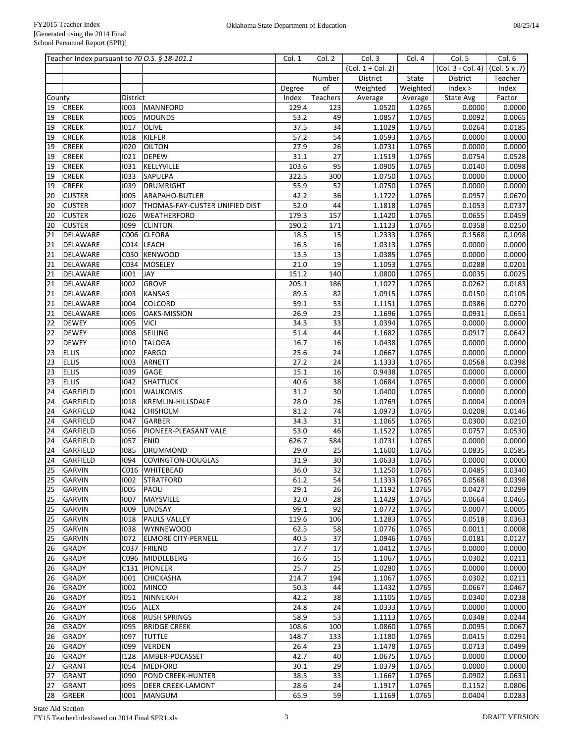|          | Teacher Index pursuant to 70 O.S. § 18-201.1 |              |                                      | Col. 1        | Col. 2    | Col. 3                 | Col. 4           | Col. 5              | Col. 6                   |
|----------|----------------------------------------------|--------------|--------------------------------------|---------------|-----------|------------------------|------------------|---------------------|--------------------------|
|          |                                              |              |                                      |               |           | $(Col. 1 \div Col. 2)$ |                  | $(Col. 3 - Col. 4)$ | $\overline{(Col. 5x.7)}$ |
|          |                                              |              |                                      |               | Number    | District               | State            | District            | Teacher                  |
|          |                                              |              |                                      | Degree        | of        | Weighted               | Weighted         | Index >             | Index                    |
| County   |                                              | District     |                                      | Index         | Teachers  | Average                | Average          | State Avg           | Factor                   |
| 19       | <b>CREEK</b>                                 | 1003         | MANNFORD                             | 129.4         | 123       | 1.0520                 | 1.0765           | 0.0000              | 0.0000                   |
| 19       | <b>CREEK</b>                                 | 1005         | <b>MOUNDS</b>                        | 53.2          | 49        | 1.0857                 | 1.0765           | 0.0092              | 0.0065                   |
| 19       | <b>CREEK</b>                                 | 1017         | <b>OLIVE</b>                         | 37.5          | 34        | 1.1029                 | 1.0765           | 0.0264              | 0.0185                   |
| 19       | <b>CREEK</b>                                 | 1018         | KIEFER                               | 57.2          | 54        | 1.0593                 | 1.0765           | 0.0000              | 0.0000                   |
| 19       | <b>CREEK</b>                                 | 1020         | <b>OILTON</b>                        | 27.9          | 26        | 1.0731                 | 1.0765           | 0.0000              | 0.0000                   |
| 19       | <b>CREEK</b>                                 | 1021         | <b>DEPEW</b>                         | 31.1          | 27        | 1.1519                 | 1.0765           | 0.0754              | 0.0528                   |
| 19       | <b>CREEK</b>                                 | 1031         | KELLYVILLE                           | 103.6         | 95        | 1.0905                 | 1.0765           | 0.0140              | 0.0098                   |
| 19       | <b>CREEK</b>                                 | 1033         | SAPULPA                              | 322.5         | 300       | 1.0750                 | 1.0765           | 0.0000              | 0.0000                   |
| 19       | <b>CREEK</b>                                 | 1039         | DRUMRIGHT                            | 55.9<br>42.2  | 52<br>36  | 1.0750                 | 1.0765           | 0.0000              | 0.0000                   |
| 20       | <b>CUSTER</b>                                | 1005<br>1007 | ARAPAHO-BUTLER                       |               | 44        | 1.1722                 | 1.0765           | 0.0957              | 0.0670                   |
| 20       | <b>CUSTER</b>                                |              | THOMAS-FAY-CUSTER UNIFIED DIST       | 52.0<br>179.3 | 157       | 1.1818                 | 1.0765           | 0.1053              | 0.0737                   |
| 20<br>20 | <b>CUSTER</b><br><b>CUSTER</b>               | 1026<br>1099 | <b>WEATHERFORD</b><br><b>CLINTON</b> | 190.2         | 171       | 1.1420<br>1.1123       | 1.0765<br>1.0765 | 0.0655<br>0.0358    | 0.0459<br>0.0250         |
| 21       | DELAWARE                                     | C006         | <b>CLEORA</b>                        | 18.5          | 15        | 1.2333                 | 1.0765           | 0.1568              | 0.1098                   |
| 21       | DELAWARE                                     |              | C014 LEACH                           | 16.5          | 16        | 1.0313                 | 1.0765           | 0.0000              | 0.0000                   |
| 21       | DELAWARE                                     | C030         | <b>KENWOOD</b>                       | 13.5          | 13        | 1.0385                 | 1.0765           | 0.0000              | 0.0000                   |
| 21       | DELAWARE                                     | C034         | MOSELEY                              | 21.0          | 19        | 1.1053                 | 1.0765           | 0.0288              | 0.0201                   |
| 21       | DELAWARE                                     | 1001         | <b>JAY</b>                           | 151.2         | 140       | 1.0800                 | 1.0765           | 0.0035              | 0.0025                   |
| 21       | DELAWARE                                     | 1002         | <b>GROVE</b>                         | 205.1         | 186       | 1.1027                 | 1.0765           | 0.0262              | 0.0183                   |
| 21       | DELAWARE                                     | 1003         | KANSAS                               | 89.5          | 82        | 1.0915                 | 1.0765           | 0.0150              | 0.0105                   |
| 21       | DELAWARE                                     | 1004         | <b>COLCORD</b>                       | 59.1          | 53        | 1.1151                 | 1.0765           | 0.0386              | 0.0270                   |
| 21       | DELAWARE                                     | 1005         | OAKS-MISSION                         | 26.9          | 23        | 1.1696                 | 1.0765           | 0.0931              | 0.0651                   |
| 22       | <b>DEWEY</b>                                 | 1005         | <b>VICI</b>                          | 34.3          | 33        | 1.0394                 | 1.0765           | 0.0000              | 0.0000                   |
| 22       | <b>DEWEY</b>                                 | 1008         | SEILING                              | 51.4          | 44        | 1.1682                 | 1.0765           | 0.0917              | 0.0642                   |
| 22       | <b>DEWEY</b>                                 | 1010         | <b>TALOGA</b>                        | 16.7          | 16        | 1.0438                 | 1.0765           | 0.0000              | 0.0000                   |
| 23       | <b>ELLIS</b>                                 | 1002         | FARGO                                | 25.6          | 24        | 1.0667                 | 1.0765           | 0.0000              | 0.0000                   |
| 23       | <b>ELLIS</b>                                 | 1003         | ARNETT                               | 27.2          | 24        | 1.1333                 | 1.0765           | 0.0568              | 0.0398                   |
| 23       | <b>ELLIS</b>                                 | 1039         | GAGE                                 | 15.1          | 16        | 0.9438                 | 1.0765           | 0.0000              | 0.0000                   |
| 23       | <b>ELLIS</b>                                 | 1042         | <b>SHATTUCK</b>                      | 40.6          | 38        | 1.0684                 | 1.0765           | 0.0000              | 0.0000                   |
| 24       | GARFIELD                                     | 1001         | <b>WAUKOMIS</b>                      | 31.2          | 30        | 1.0400                 | 1.0765           | 0.0000              | 0.0000                   |
| 24       | GARFIELD                                     | 1018         | KREMLIN-HILLSDALE                    | 28.0          | 26        | 1.0769                 | 1.0765           | 0.0004              | 0.0003                   |
| 24       | GARFIELD                                     | 1042         | <b>CHISHOLM</b>                      | 81.2          | 74        | 1.0973                 | 1.0765           | 0.0208              | 0.0146                   |
| 24       | GARFIELD                                     | 1047         | <b>GARBER</b>                        | 34.3          | 31        | 1.1065                 | 1.0765           | 0.0300              | 0.0210                   |
| 24       | <b>GARFIELD</b>                              | 1056         | PIONEER-PLEASANT VALE                | 53.0          | 46        | 1.1522                 | 1.0765           | 0.0757              | 0.0530                   |
| 24       | <b>GARFIELD</b>                              | 1057         | <b>ENID</b>                          | 626.7         | 584       | 1.0731                 | 1.0765           | 0.0000              | 0.0000                   |
| 24       | GARFIELD                                     | 1085         | <b>DRUMMOND</b>                      | 29.0          | 25        | 1.1600                 | 1.0765           | 0.0835              | 0.0585                   |
| 24       | GARFIELD                                     | 1094         | <b>COVINGTON-DOUGLAS</b>             | 31.9          | 30        | 1.0633                 | 1.0765           | 0.0000              | 0.0000                   |
| 25       | <b>GARVIN</b>                                | C016         | <b>WHITEBEAD</b>                     | 36.0          | 32        | 1.1250                 | 1.0765           | 0.0485              | 0.0340                   |
| 25       | <b>GARVIN</b>                                | 1002         | STRATFORD                            | 61.2          | 54        | 1.1333                 | 1.0765           | 0.0568              | 0.0398                   |
| 25       | <b>GARVIN</b>                                | 1005         | PAOLI                                | 29.1          | 26        | 1.1192                 | 1.0765           | 0.0427              | 0.0299                   |
| 25       | <b>GARVIN</b>                                | 1007         | MAYSVILLE                            | 32.0<br>99.1  | 28        | 1.1429                 | 1.0765           | 0.0664              | 0.0465<br>0.0005         |
| 25       | <b>GARVIN</b><br><b>GARVIN</b>               | 1009<br>1018 | LINDSAY<br><b>PAULS VALLEY</b>       | 119.6         | 92<br>106 | 1.0772<br>1.1283       | 1.0765<br>1.0765 | 0.0007<br>0.0518    | 0.0363                   |
| 25<br>25 | <b>GARVIN</b>                                | 1038         | <b>WYNNEWOOD</b>                     | 62.5          | 58        | 1.0776                 | 1.0765           | 0.0011              | 0.0008                   |
|          | <b>GARVIN</b>                                | 1072         | <b>ELMORE CITY-PERNELL</b>           | 40.5          | 37        | 1.0946                 | 1.0765           | 0.0181              | 0.0127                   |
| 25<br>26 | <b>GRADY</b>                                 |              | C037 FRIEND                          | 17.7          | 17        | 1.0412                 | 1.0765           | 0.0000              | 0.0000                   |
| 26       | <b>GRADY</b>                                 |              | C096 MIDDLEBERG                      | 16.6          | 15        | 1.1067                 | 1.0765           | 0.0302              | 0.0211                   |
| 26       | <b>GRADY</b>                                 |              | C131 PIONEER                         | 25.7          | 25        | 1.0280                 | 1.0765           | 0.0000              | 0.0000                   |
| 26       | <b>GRADY</b>                                 | 1001         | <b>CHICKASHA</b>                     | 214.7         | 194       | 1.1067                 | 1.0765           | 0.0302              | 0.0211                   |
| 26       | <b>GRADY</b>                                 | 1002         | <b>MINCO</b>                         | 50.3          | 44        | 1.1432                 | 1.0765           | 0.0667              | 0.0467                   |
| 26       | <b>GRADY</b>                                 | 1051         | NINNEKAH                             | 42.2          | 38        | 1.1105                 | 1.0765           | 0.0340              | 0.0238                   |
| 26       | <b>GRADY</b>                                 | 1056         | <b>ALEX</b>                          | 24.8          | 24        | 1.0333                 | 1.0765           | 0.0000              | 0.0000                   |
| 26       | <b>GRADY</b>                                 | 1068         | <b>RUSH SPRINGS</b>                  | 58.9          | 53        | 1.1113                 | 1.0765           | 0.0348              | 0.0244                   |
| 26       | <b>GRADY</b>                                 | 1095         | <b>BRIDGE CREEK</b>                  | 108.6         | 100       | 1.0860                 | 1.0765           | 0.0095              | 0.0067                   |
| 26       | <b>GRADY</b>                                 | 1097         | <b>TUTTLE</b>                        | 148.7         | 133       | 1.1180                 | 1.0765           | 0.0415              | 0.0291                   |
| 26       | <b>GRADY</b>                                 | 1099         | <b>VERDEN</b>                        | 26.4          | 23        | 1.1478                 | 1.0765           | 0.0713              | 0.0499                   |
| 26       | <b>GRADY</b>                                 | 1128         | AMBER-POCASSET                       | 42.7          | 40        | 1.0675                 | 1.0765           | 0.0000              | 0.0000                   |
| 27       | <b>GRANT</b>                                 | 1054         | MEDFORD                              | 30.1          | 29        | 1.0379                 | 1.0765           | 0.0000              | 0.0000                   |
| 27       | <b>GRANT</b>                                 | 1090         | <b>POND CREEK-HUNTER</b>             | 38.5          | 33        | 1.1667                 | 1.0765           | 0.0902              | 0.0631                   |
| 27       | <b>GRANT</b>                                 | 1095         | <b>DEER CREEK-LAMONT</b>             | 28.6          | 24        | 1.1917                 | 1.0765           | 0.1152              | 0.0806                   |
| 28       | GREER                                        | 1001         | MANGUM                               | 65.9          | 59        | 1.1169                 | 1.0765           | 0.0404              | 0.0283                   |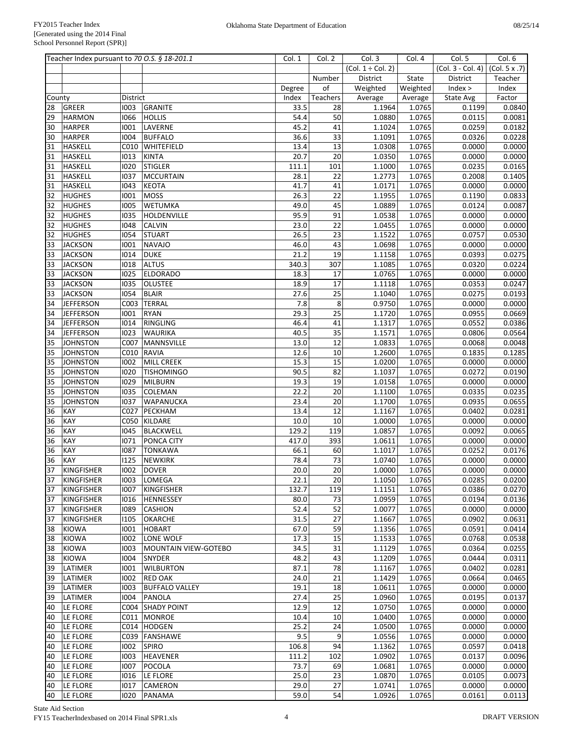|        | Teacher Index pursuant to 70 O.S. § 18-201.1 |          |                             | Col. 1 | Col. 2          | Col. 3                 | Col. 4   | Col. 5              | Col. 6              |
|--------|----------------------------------------------|----------|-----------------------------|--------|-----------------|------------------------|----------|---------------------|---------------------|
|        |                                              |          |                             |        |                 | $(Col. 1 \div Col. 2)$ |          | $(Col. 3 - Col. 4)$ | (Col. 5 x .7)       |
|        |                                              |          |                             |        | Number          | District               | State    | District            | Teacher             |
|        |                                              |          |                             | Degree | of              | Weighted               | Weighted | Index >             | Index               |
| County |                                              | District |                             | Index  | Teachers        | Average                | Average  | State Avg           | Factor              |
| 28     | <b>GREER</b>                                 | 1003     | GRANITE                     | 33.5   | 28              | 1.1964                 | 1.0765   | 0.1199              | 0.0840              |
| 29     | <b>HARMON</b>                                | 1066     | <b>HOLLIS</b>               | 54.4   | 50              | 1.0880                 | 1.0765   | 0.0115              | 0.0081              |
| 30     | <b>HARPER</b>                                | 1001     | LAVERNE                     | 45.2   | 41              | 1.1024                 | 1.0765   | 0.0259              | $\overline{0.0182}$ |
| 30     | <b>HARPER</b>                                | 1004     | <b>BUFFALO</b>              | 36.6   | $\overline{33}$ | 1.1091                 | 1.0765   | 0.0326              | 0.0228              |
| 31     | <b>HASKELL</b>                               | C010     | WHITEFIELD                  | 13.4   | 13              | 1.0308                 | 1.0765   | 0.0000              | 0.0000              |
| 31     | <b>HASKELL</b>                               | 1013     | <b>KINTA</b>                | 20.7   | 20              | 1.0350                 | 1.0765   | 0.0000              | 0.0000              |
| 31     | <b>HASKELL</b>                               | 1020     | <b>STIGLER</b>              | 111.1  | 101             | 1.1000                 | 1.0765   | 0.0235              | 0.0165              |
| 31     | <b>HASKELL</b>                               | 1037     | <b>MCCURTAIN</b>            | 28.1   | 22              | 1.2773                 | 1.0765   | 0.2008              | 0.1405              |
| 31     | <b>HASKELL</b>                               | 1043     | <b>KEOTA</b>                | 41.7   | 41              | 1.0171                 | 1.0765   | 0.0000              | 0.0000              |
| 32     | <b>HUGHES</b>                                | 1001     | <b>MOSS</b>                 | 26.3   | 22              | 1.1955                 | 1.0765   | 0.1190              | 0.0833              |
| 32     | <b>HUGHES</b>                                | 1005     | <b>WETUMKA</b>              | 49.0   | 45              | 1.0889                 | 1.0765   | 0.0124              | 0.0087              |
| 32     | <b>HUGHES</b>                                | 1035     | HOLDENVILLE                 | 95.9   | 91              | 1.0538                 | 1.0765   | 0.0000              | 0.0000              |
| 32     | <b>HUGHES</b>                                | 1048     | <b>CALVIN</b>               | 23.0   | 22              | 1.0455                 | 1.0765   | 0.0000              | 0.0000              |
| 32     | <b>HUGHES</b>                                | 1054     | <b>STUART</b>               | 26.5   | 23              | 1.1522                 | 1.0765   | 0.0757              | 0.0530              |
| 33     | <b>JACKSON</b>                               | 1001     | <b>NAVAJO</b>               | 46.0   | 43              | 1.0698                 | 1.0765   | 0.0000              | 0.0000              |
|        |                                              |          | <b>DUKE</b>                 |        |                 |                        |          |                     |                     |
| 33     | <b>JACKSON</b>                               | 1014     |                             | 21.2   | 19              | 1.1158                 | 1.0765   | 0.0393              | 0.0275              |
| 33     | <b>JACKSON</b>                               | 1018     | <b>ALTUS</b>                | 340.3  | 307             | 1.1085                 | 1.0765   | 0.0320              | 0.0224              |
| 33     | <b>JACKSON</b>                               | 1025     | <b>ELDORADO</b>             | 18.3   | 17              | 1.0765                 | 1.0765   | 0.0000              | 0.0000              |
| 33     | <b>JACKSON</b>                               | 1035     | <b>OLUSTEE</b>              | 18.9   | 17              | 1.1118                 | 1.0765   | 0.0353              | 0.0247              |
| 33     | <b>JACKSON</b>                               | 1054     | <b>BLAIR</b>                | 27.6   | 25              | 1.1040                 | 1.0765   | 0.0275              | 0.0193              |
| 34     | <b>JEFFERSON</b>                             | C003     | <b>TERRAL</b>               | 7.8    | 8               | 0.9750                 | 1.0765   | 0.0000              | 0.0000              |
| 34     | <b>JEFFERSON</b>                             | 1001     | <b>RYAN</b>                 | 29.3   | 25              | 1.1720                 | 1.0765   | 0.0955              | 0.0669              |
| 34     | <b>JEFFERSON</b>                             | 1014     | RINGLING                    | 46.4   | 41              | 1.1317                 | 1.0765   | 0.0552              | 0.0386              |
| 34     | <b>JEFFERSON</b>                             | 1023     | <b>WAURIKA</b>              | 40.5   | 35              | 1.1571                 | 1.0765   | 0.0806              | 0.0564              |
| 35     | <b>JOHNSTON</b>                              | C007     | MANNSVILLE                  | 13.0   | 12              | 1.0833                 | 1.0765   | 0.0068              | 0.0048              |
| 35     | <b>JOHNSTON</b>                              | C010     | <b>RAVIA</b>                | 12.6   | 10              | 1.2600                 | 1.0765   | 0.1835              | 0.1285              |
| 35     | <b>JOHNSTON</b>                              | 1002     | MILL CREEK                  | 15.3   | 15              | 1.0200                 | 1.0765   | 0.0000              | 0.0000              |
| 35     | <b>JOHNSTON</b>                              | 1020     | <b>TISHOMINGO</b>           | 90.5   | 82              | 1.1037                 | 1.0765   | 0.0272              | 0.0190              |
| 35     | <b>JOHNSTON</b>                              | 1029     | <b>MILBURN</b>              | 19.3   | 19              | 1.0158                 | 1.0765   | 0.0000              | 0.0000              |
| 35     | <b>JOHNSTON</b>                              | 1035     | <b>COLEMAN</b>              | 22.2   | 20              | 1.1100                 | 1.0765   | 0.0335              | 0.0235              |
| 35     | <b>JOHNSTON</b>                              | 1037     | <b>WAPANUCKA</b>            | 23.4   | 20              | 1.1700                 | 1.0765   | 0.0935              | 0.0655              |
| 36     | KAY                                          | C027     | PECKHAM                     | 13.4   | 12              | 1.1167                 | 1.0765   | 0.0402              | 0.0281              |
| 36     | KAY                                          | C050     | KILDARE                     | 10.0   | 10              | 1.0000                 | 1.0765   | 0.0000              | 0.0000              |
| 36     | KAY                                          | 1045     | <b>BLACKWELL</b>            | 129.2  | 119             | 1.0857                 | 1.0765   | 0.0092              | 0.0065              |
| 36     | KAY                                          | 1071     | PONCA CITY                  | 417.0  | 393             | 1.0611                 | 1.0765   | 0.0000              | 0.0000              |
| 36     | KAY                                          | 1087     | <b>TONKAWA</b>              | 66.1   | 60              | 1.1017                 | 1.0765   | 0.0252              | 0.0176              |
| 36     | KAY                                          | 1125     | <b>NEWKIRK</b>              | 78.4   | 73              | 1.0740                 | 1.0765   | 0.0000              | 0.0000              |
| 37     | <b>KINGFISHER</b>                            | 1002     | <b>DOVER</b>                | 20.0   | 20              | 1.0000                 | 1.0765   | 0.0000              | 0.0000              |
| 37     | KINGFISHER                                   | 1003     | LOMEGA                      | 22.1   | 20              | 1.1050                 | 1.0765   | 0.0285              | 0.0200              |
| 37     | <b>KINGFISHER</b>                            | 1007     | KINGFISHER                  | 132.7  | 119             | 1.1151                 | 1.0765   | 0.0386              | 0.0270              |
| 37     | <b>KINGFISHER</b>                            | 1016     | <b>HENNESSEY</b>            | 80.0   | 73              | 1.0959                 | 1.0765   | 0.0194              | 0.0136              |
| 37     | <b>KINGFISHER</b>                            | 1089     | <b>CASHION</b>              | 52.4   | 52              | 1.0077                 | 1.0765   | 0.0000              | 0.0000              |
| 37     | <b>KINGFISHER</b>                            | 1105     | <b>OKARCHE</b>              | 31.5   | 27              | 1.1667                 | 1.0765   | 0.0902              | 0.0631              |
| 38     | <b>KIOWA</b>                                 | 1001     | <b>HOBART</b>               | 67.0   | 59              | 1.1356                 | 1.0765   | 0.0591              | 0.0414              |
| 38     | <b>KIOWA</b>                                 | 1002     | LONE WOLF                   | 17.3   | 15              | 1.1533                 | 1.0765   | 0.0768              | 0.0538              |
| 38     | <b>KIOWA</b>                                 | 1003     | <b>MOUNTAIN VIEW-GOTEBO</b> | 34.5   | 31              | 1.1129                 | 1.0765   | 0.0364              | 0.0255              |
| 38     | <b>KIOWA</b>                                 | 1004     | <b>SNYDER</b>               | 48.2   | 43              | 1.1209                 | 1.0765   | 0.0444              | 0.0311              |
| 39     | LATIMER                                      | 1001     | <b>WILBURTON</b>            | 87.1   | 78              | 1.1167                 | 1.0765   | 0.0402              | 0.0281              |
| 39     | LATIMER                                      | 1002     | <b>RED OAK</b>              | 24.0   | 21              | 1.1429                 | 1.0765   | 0.0664              | 0.0465              |
| 39     | LATIMER                                      | 1003     | <b>BUFFALO VALLEY</b>       | 19.1   | 18              | 1.0611                 | 1.0765   | 0.0000              | 0.0000              |
| 39     | LATIMER                                      | 1004     | PANOLA                      | 27.4   | 25              | 1.0960                 | 1.0765   | 0.0195              | 0.0137              |
| 40     | LE FLORE                                     |          | C004 SHADY POINT            | 12.9   | 12              | 1.0750                 | 1.0765   | 0.0000              | 0.0000              |
|        | LE FLORE                                     |          | C011   MONROE               | 10.4   | 10              | 1.0400                 | 1.0765   | 0.0000              | 0.0000              |
| 40     |                                              |          |                             |        |                 |                        |          |                     |                     |
| 40     | LE FLORE                                     |          | C014 HODGEN                 | 25.2   | 24              | 1.0500                 | 1.0765   | 0.0000              | 0.0000              |
| 40     | LE FLORE                                     |          | C039   FANSHAWE             | 9.5    | 9               | 1.0556                 | 1.0765   | 0.0000              | 0.0000              |
| 40     | LE FLORE                                     | 1002     | <b>SPIRO</b>                | 106.8  | 94              | 1.1362                 | 1.0765   | 0.0597              | 0.0418              |
| 40     | LE FLORE                                     | 1003     | <b>HEAVENER</b>             | 111.2  | 102             | 1.0902                 | 1.0765   | 0.0137              | 0.0096              |
| 40     | LE FLORE                                     | 1007     | POCOLA                      | 73.7   | 69              | 1.0681                 | 1.0765   | 0.0000              | 0.0000              |
| 40     | LE FLORE                                     | 1016     | LE FLORE                    | 25.0   | 23              | 1.0870                 | 1.0765   | 0.0105              | 0.0073              |
| 40     | LE FLORE                                     | 1017     | <b>CAMERON</b>              | 29.0   | 27              | 1.0741                 | 1.0765   | 0.0000              | 0.0000              |
| 40     | LE FLORE                                     | 1020     | PANAMA                      | 59.0   | 54              | 1.0926                 | 1.0765   | 0.0161              | 0.0113              |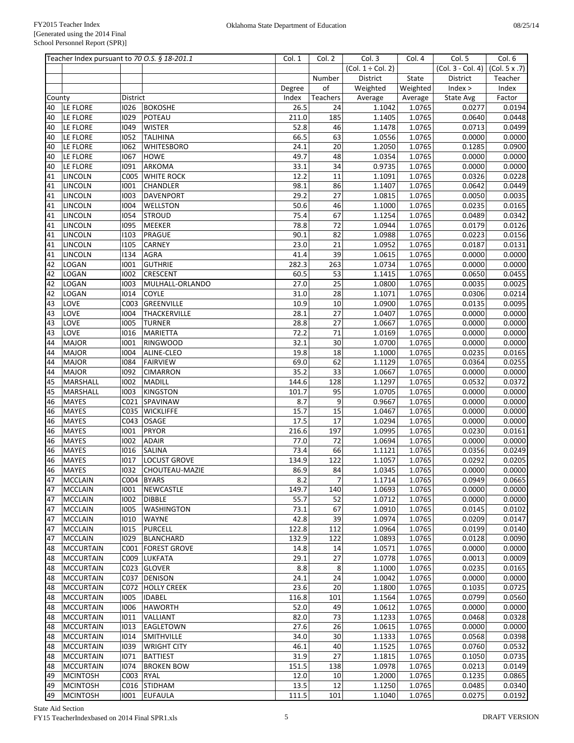|        | Teacher Index pursuant to 70 O.S. § 18-201.1 |                  |                         | Col. 1 | Col. 2          | Col. 3                 | Col. 4   | Col. 5              | Col. 6           |
|--------|----------------------------------------------|------------------|-------------------------|--------|-----------------|------------------------|----------|---------------------|------------------|
|        |                                              |                  |                         |        |                 | $(Col. 1 \div Col. 2)$ |          | $(Col. 3 - Col. 4)$ | (Col. 5 x .7)    |
|        |                                              |                  |                         |        | Number          | District               | State    | District            | Teacher          |
|        |                                              |                  |                         | Degree | of              | Weighted               | Weighted | Index >             | Index            |
| County |                                              | <b>District</b>  |                         | Index  | Teachers        | Average                | Average  | State Avg           | Factor           |
| 40     | LE FLORE                                     | 1026             | <b>BOKOSHE</b>          | 26.5   | 24              | 1.1042                 | 1.0765   | 0.0277              | 0.0194           |
| 40     | LE FLORE                                     | 1029             | POTEAU                  | 211.0  | 185             | 1.1405                 | 1.0765   | 0.0640              | 0.0448           |
| 40     | LE FLORE                                     | 1049             | <b>WISTER</b>           | 52.8   | 46              | 1.1478                 | 1.0765   | 0.0713              | 0.0499           |
| 40     | LE FLORE                                     | 1052             | <b>TALIHINA</b>         | 66.5   | 63              | 1.0556                 | 1.0765   | 0.0000              | 0.0000           |
| 40     | LE FLORE                                     | 1062             | <b>WHITESBORO</b>       | 24.1   | 20              | 1.2050                 | 1.0765   | 0.1285              | 0.0900           |
| 40     | LE FLORE                                     | 1067             | <b>HOWE</b>             | 49.7   | 48              | 1.0354                 | 1.0765   | 0.0000              | 0.0000           |
| 40     | LE FLORE                                     | 1091             | <b>ARKOMA</b>           | 33.1   | 34              | 0.9735                 | 1.0765   | 0.0000              | 0.0000           |
| 41     | <b>LINCOLN</b>                               |                  | C005 WHITE ROCK         | 12.2   | 11              | 1.1091                 | 1.0765   | 0.0326              | 0.0228           |
| 41     | <b>LINCOLN</b>                               | 1001             | <b>CHANDLER</b>         | 98.1   | 86              | 1.1407                 | 1.0765   | 0.0642              | 0.0449           |
| 41     | <b>LINCOLN</b>                               | 1003             | <b>DAVENPORT</b>        | 29.2   | 27              | 1.0815                 | 1.0765   | 0.0050              | 0.0035           |
| 41     | <b>LINCOLN</b>                               | 1004             | <b>WELLSTON</b>         | 50.6   | 46              | 1.1000                 | 1.0765   | 0.0235              | 0.0165           |
| 41     | <b>LINCOLN</b>                               | 1054             | <b>STROUD</b>           | 75.4   | 67              | 1.1254                 | 1.0765   | 0.0489              | 0.0342           |
| 41     | <b>LINCOLN</b>                               | 1095             | MEEKER                  | 78.8   | 72              | 1.0944                 | 1.0765   | 0.0179              | 0.0126           |
| 41     | <b>LINCOLN</b>                               | 1103             | PRAGUE                  | 90.1   | 82              | 1.0988                 | 1.0765   | 0.0223              | 0.0156           |
| 41     | <b>LINCOLN</b>                               | 1105             | <b>CARNEY</b>           | 23.0   | 21              | 1.0952                 | 1.0765   | 0.0187              | 0.0131           |
| 41     | LINCOLN                                      | 1134             | <b>AGRA</b>             | 41.4   | 39              | 1.0615                 | 1.0765   | 0.0000              | 0.0000           |
| 42     | LOGAN                                        | 1001             | <b>GUTHRIE</b>          | 282.3  | 263             | 1.0734                 | 1.0765   | 0.0000              | 0.0000           |
| 42     | LOGAN                                        | 1002             | <b>CRESCENT</b>         | 60.5   | 53              | 1.1415                 | 1.0765   | 0.0650              | 0.0455           |
| 42     | LOGAN                                        | 1003             | MULHALL-ORLANDO         | 27.0   | $\overline{25}$ | 1.0800                 | 1.0765   | 0.0035              | 0.0025           |
| 42     | <b>LOGAN</b>                                 | 1014             | <b>COYLE</b>            | 31.0   | 28              | 1.1071                 | 1.0765   | 0.0306              | 0.0214           |
| 43     | LOVE                                         |                  | C003 GREENVILLE         | 10.9   | 10              | 1.0900                 | 1.0765   | 0.0135              | 0.0095           |
| 43     | LOVE                                         | 1004             | THACKERVILLE            | 28.1   | $\overline{27}$ | 1.0407                 | 1.0765   | 0.0000              | 0.0000           |
| 43     | LOVE                                         | 1005             | <b>TURNER</b>           | 28.8   | 27              | 1.0667                 | 1.0765   | 0.0000              | 0.0000           |
| 43     | LOVE                                         | 1016             | <b>MARIETTA</b>         | 72.2   | 71              | 1.0169                 | 1.0765   | 0.0000              | 0.0000           |
| 44     | <b>MAJOR</b>                                 | 1001             | <b>RINGWOOD</b>         | 32.1   | 30              | 1.0700                 | 1.0765   | 0.0000              | 0.0000           |
| 44     | <b>MAJOR</b>                                 | 1004             | ALINE-CLEO              | 19.8   | 18              | 1.1000                 | 1.0765   | 0.0235              | 0.0165           |
| 44     | <b>MAJOR</b>                                 | 1084             | <b>FAIRVIEW</b>         | 69.0   | 62              | 1.1129                 | 1.0765   | 0.0364              | 0.0255           |
| 44     | <b>MAJOR</b>                                 | 1092             | <b>CIMARRON</b>         | 35.2   | 33              | 1.0667                 | 1.0765   | 0.0000              | 0.0000           |
| 45     | MARSHALL                                     | 1002             | <b>MADILL</b>           | 144.6  | 128             | 1.1297                 | 1.0765   | 0.0532              | 0.0372           |
| 45     | <b>MARSHALL</b>                              | 1003             | <b>KINGSTON</b>         | 101.7  | 95              | 1.0705                 | 1.0765   | 0.0000              | 0.0000           |
| 46     | <b>MAYES</b>                                 | CO <sub>21</sub> | <b>SPAVINAW</b>         | 8.7    | 9               | 0.9667                 | 1.0765   | 0.0000              | 0.0000           |
| 46     | <b>MAYES</b>                                 | C035             | <b>WICKLIFFE</b>        | 15.7   | 15              | 1.0467                 | 1.0765   | 0.0000              | 0.0000           |
| 46     | <b>MAYES</b>                                 | C043             | <b>OSAGE</b>            | 17.5   | 17              | 1.0294                 | 1.0765   | 0.0000              | 0.0000           |
| 46     | <b>MAYES</b>                                 | 1001             | <b>PRYOR</b>            | 216.6  | 197             | 1.0995                 | 1.0765   | 0.0230              | 0.0161           |
| 46     | <b>MAYES</b>                                 | 1002             | <b>ADAIR</b>            | 77.0   | 72              | 1.0694                 | 1.0765   | 0.0000              | 0.0000           |
| 46     | <b>MAYES</b>                                 | 1016             | <b>SALINA</b>           | 73.4   | 66              | 1.1121                 | 1.0765   | 0.0356              | 0.0249           |
| 46     | <b>MAYES</b>                                 | 1017             | <b>LOCUST GROVE</b>     | 134.9  | 122             | 1.1057                 | 1.0765   | 0.0292              | 0.0205           |
|        | 46 MAYES                                     |                  | 1032 CHOUTEAU-MAZIE     | 86.9   | 84              | 1.0345                 | 1.0765   | 0.0000              | 0.0000           |
| 47     | MCCLAIN                                      |                  | C004   BYARS            | 8.2    | $\overline{7}$  | 1.1714                 | 1.0765   | 0.0949              | 0.0665           |
|        | <b>MCCLAIN</b>                               | 1001             | NEWCASTLE               | 149.7  | 140             | 1.0693                 | 1.0765   | 0.0000              | 0.0000           |
| 47     | MCCLAIN                                      |                  | <b>DIBBLE</b>           | 55.7   | 52              |                        |          | 0.0000              | 0.0000           |
| 47     | <b>MCCLAIN</b>                               | 1002             |                         |        | 67              | 1.0712                 | 1.0765   |                     |                  |
| 47     |                                              | 1005             | <b>WASHINGTON</b>       | 73.1   |                 | 1.0910                 | 1.0765   | 0.0145              | 0.0102<br>0.0147 |
| 47     | <b>MCCLAIN</b><br><b>MCCLAIN</b>             | 1010             | <b>WAYNE</b><br>PURCELL | 42.8   | 39              | 1.0974                 | 1.0765   | 0.0209              |                  |
| 47     |                                              | 1015             |                         | 122.8  | 112             | 1.0964                 | 1.0765   | 0.0199              | 0.0140           |
| 47     | <b>MCCLAIN</b>                               |                  | 1029 BLANCHARD          | 132.9  | 122             | 1.0893                 | 1.0765   | 0.0128              | 0.0090           |
| 48     | <b>MCCURTAIN</b>                             |                  | C001   FOREST GROVE     | 14.8   | 14              | 1.0571                 | 1.0765   | 0.0000              | 0.0000           |
| 48     | <b>MCCURTAIN</b>                             |                  | C009 LUKFATA            | 29.1   | 27              | 1.0778                 | 1.0765   | 0.0013              | 0.0009           |
| 48     | <b>MCCURTAIN</b>                             |                  | C023 GLOVER             | 8.8    | 8               | 1.1000                 | 1.0765   | 0.0235              | 0.0165           |
| 48     | <b>MCCURTAIN</b>                             |                  | C037 DENISON            | 24.1   | 24              | 1.0042                 | 1.0765   | 0.0000              | 0.0000           |
| 48     | <b>MCCURTAIN</b>                             |                  | C072 HOLLY CREEK        | 23.6   | 20              | 1.1800                 | 1.0765   | 0.1035              | 0.0725           |
| 48     | <b>MCCURTAIN</b>                             | 1005             | <b>IDABEL</b>           | 116.8  | 101             | 1.1564                 | 1.0765   | 0.0799              | 0.0560           |
| 48     | <b>MCCURTAIN</b>                             | 1006             | <b>HAWORTH</b>          | 52.0   | 49              | 1.0612                 | 1.0765   | 0.0000              | 0.0000           |
| 48     | MCCURTAIN                                    | 1011             | VALLIANT                | 82.0   | 73              | 1.1233                 | 1.0765   | 0.0468              | 0.0328           |
| 48     | MCCURTAIN                                    | 1013             | EAGLETOWN               | 27.6   | 26              | 1.0615                 | 1.0765   | 0.0000              | 0.0000           |
| 48     | <b>MCCURTAIN</b>                             | 1014             | <b>SMITHVILLE</b>       | 34.0   | 30              | 1.1333                 | 1.0765   | 0.0568              | 0.0398           |
| 48     | <b>MCCURTAIN</b>                             | 1039             | <b>WRIGHT CITY</b>      | 46.1   | 40              | 1.1525                 | 1.0765   | 0.0760              | 0.0532           |
| 48     | <b>MCCURTAIN</b>                             | 1071             | <b>BATTIEST</b>         | 31.9   | 27              | 1.1815                 | 1.0765   | 0.1050              | 0.0735           |
| 48     | <b>MCCURTAIN</b>                             | 1074             | <b>BROKEN BOW</b>       | 151.5  | 138             | 1.0978                 | 1.0765   | 0.0213              | 0.0149           |
| 49     | <b>MCINTOSH</b>                              | C003 RYAL        |                         | 12.0   | 10              | 1.2000                 | 1.0765   | 0.1235              | 0.0865           |
| 49     | <b>MCINTOSH</b>                              |                  | C016 STIDHAM            | 13.5   | 12              | 1.1250                 | 1.0765   | 0.0485              | 0.0340           |
| 49     | MCINTOSH                                     |                  | 1001 EUFAULA            | 111.5  | 101             | 1.1040                 | 1.0765   | 0.0275              | 0.0192           |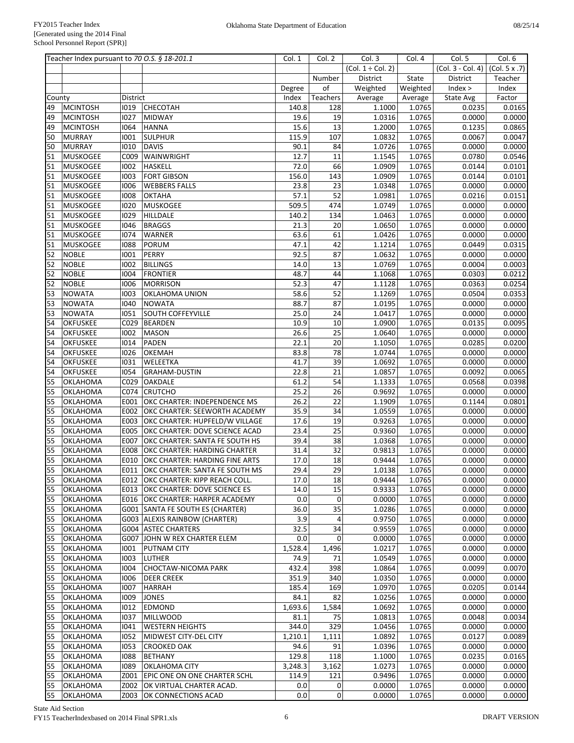|        | Teacher Index pursuant to 70 O.S. § 18-201.1 |          |                                          | Col. 1  | Col. 2          | Col. 3                 | Col. 4   | Col. 5                              | Col. 6  |
|--------|----------------------------------------------|----------|------------------------------------------|---------|-----------------|------------------------|----------|-------------------------------------|---------|
|        |                                              |          |                                          |         |                 | $(Col. 1 \div Col. 2)$ |          | $(Col. 3 - Col. 4)$ $(Col. 5 x .7)$ |         |
|        |                                              |          |                                          |         | Number          | District               | State    | District                            | Teacher |
|        |                                              |          |                                          | Degree  | of              | Weighted               | Weighted | Index >                             | Index   |
| County |                                              | District |                                          | Index   | Teachers        | Average                | Average  | State Avg                           | Factor  |
| 49     | <b>MCINTOSH</b>                              | 1019     | <b>CHECOTAH</b>                          | 140.8   | 128             | 1.1000                 | 1.0765   | 0.0235                              | 0.0165  |
| 49     | <b>MCINTOSH</b>                              | 1027     | <b>MIDWAY</b>                            | 19.6    | 19              | 1.0316                 | 1.0765   | 0.0000                              | 0.0000  |
| 49     | <b>MCINTOSH</b>                              | 1064     | <b>HANNA</b>                             | 15.6    | $\overline{13}$ | 1.2000                 | 1.0765   | 0.1235                              | 0.0865  |
| 50     | <b>MURRAY</b>                                | 1001     | <b>SULPHUR</b>                           | 115.9   | 107             | 1.0832                 | 1.0765   | 0.0067                              | 0.0047  |
| 50     | <b>MURRAY</b>                                | 1010     | <b>DAVIS</b>                             | 90.1    | 84              | 1.0726                 | 1.0765   | 0.0000                              | 0.0000  |
| 51     | MUSKOGEE                                     | C009     | WAINWRIGHT                               | 12.7    | 11              | 1.1545                 | 1.0765   | 0.0780                              | 0.0546  |
| 51     | MUSKOGEE                                     | 1002     | <b>HASKELL</b>                           | 72.0    | 66              | 1.0909                 | 1.0765   | 0.0144                              |         |
|        | <b>MUSKOGEE</b>                              |          |                                          |         | 143             |                        |          |                                     | 0.0101  |
| 51     |                                              | 1003     | <b>FORT GIBSON</b>                       | 156.0   |                 | 1.0909                 | 1.0765   | 0.0144                              | 0.0101  |
| 51     | MUSKOGEE                                     | 1006     | <b>WEBBERS FALLS</b>                     | 23.8    | 23              | 1.0348                 | 1.0765   | 0.0000                              | 0.0000  |
| 51     | MUSKOGEE                                     | 1008     | OKTAHA                                   | 57.1    | 52              | 1.0981                 | 1.0765   | 0.0216                              | 0.0151  |
| 51     | MUSKOGEE                                     | 1020     | <b>MUSKOGEE</b>                          | 509.5   | 474             | 1.0749                 | 1.0765   | 0.0000                              | 0.0000  |
| 51     | MUSKOGEE                                     | 1029     | <b>HILLDALE</b>                          | 140.2   | 134             | 1.0463                 | 1.0765   | 0.0000                              | 0.0000  |
| 51     | MUSKOGEE                                     | 1046     | <b>BRAGGS</b>                            | 21.3    | 20              | 1.0650                 | 1.0765   | 0.0000                              | 0.0000  |
| 51     | MUSKOGEE                                     | 1074     | <b>WARNER</b>                            | 63.6    | 61              | 1.0426                 | 1.0765   | 0.0000                              | 0.0000  |
| 51     | MUSKOGEE                                     | 1088     | PORUM                                    | 47.1    | 42              | 1.1214                 | 1.0765   | 0.0449                              | 0.0315  |
| 52     | <b>NOBLE</b>                                 | 1001     | PERRY                                    | 92.5    | 87              | 1.0632                 | 1.0765   | 0.0000                              | 0.0000  |
| 52     | <b>NOBLE</b>                                 | 1002     | <b>BILLINGS</b>                          | 14.0    | 13              | 1.0769                 | 1.0765   | 0.0004                              | 0.0003  |
| 52     | <b>NOBLE</b>                                 | 1004     | <b>FRONTIER</b>                          | 48.7    | 44              | 1.1068                 | 1.0765   | 0.0303                              | 0.0212  |
| 52     | <b>NOBLE</b>                                 | 1006     | <b>MORRISON</b>                          | 52.3    | 47              | 1.1128                 | 1.0765   | 0.0363                              | 0.0254  |
| 53     | <b>NOWATA</b>                                | 1003     | <b>OKLAHOMA UNION</b>                    | 58.6    | 52              | 1.1269                 | 1.0765   | 0.0504                              | 0.0353  |
| 53     | <b>NOWATA</b>                                | 1040     | <b>NOWATA</b>                            | 88.7    | 87              | 1.0195                 | 1.0765   | 0.0000                              | 0.0000  |
| 53     | <b>NOWATA</b>                                | 1051     | <b>SOUTH COFFEYVILLE</b>                 | 25.0    | 24              | 1.0417                 | 1.0765   | 0.0000                              | 0.0000  |
| 54     | <b>OKFUSKEE</b>                              | C029     | <b>BEARDEN</b>                           | 10.9    | 10              | 1.0900                 | 1.0765   | 0.0135                              | 0.0095  |
| 54     | <b>OKFUSKEE</b>                              | 1002     | <b>MASON</b>                             | 26.6    | 25              | 1.0640                 | 1.0765   | 0.0000                              | 0.0000  |
| 54     | <b>OKFUSKEE</b>                              | 1014     | <b>PADEN</b>                             | 22.1    | 20              | 1.1050                 | 1.0765   | 0.0285                              | 0.0200  |
| 54     | <b>OKFUSKEE</b>                              | 1026     | <b>OKEMAH</b>                            | 83.8    | 78              | 1.0744                 | 1.0765   | 0.0000                              | 0.0000  |
| 54     | <b>OKFUSKEE</b>                              | 1031     | <b>WELEETKA</b>                          | 41.7    | 39              | 1.0692                 | 1.0765   | 0.0000                              | 0.0000  |
| 54     | <b>OKFUSKEE</b>                              | 1054     | <b>GRAHAM-DUSTIN</b>                     | 22.8    | 21              | 1.0857                 | 1.0765   | 0.0092                              | 0.0065  |
|        |                                              |          |                                          |         |                 |                        |          |                                     |         |
| 55     | <b>OKLAHOMA</b>                              | C029     | <b>OAKDALE</b>                           | 61.2    | 54              | 1.1333                 | 1.0765   | 0.0568                              | 0.0398  |
| 55     | <b>OKLAHOMA</b>                              | C074     | <b>CRUTCHO</b>                           | 25.2    | 26              | 0.9692                 | 1.0765   | 0.0000                              | 0.0000  |
| 55     | <b>OKLAHOMA</b>                              | E001     | OKC CHARTER: INDEPENDENCE MS             | 26.2    | 22              | 1.1909                 | 1.0765   | 0.1144                              | 0.0801  |
| 55     | <b>OKLAHOMA</b>                              | E002     | OKC CHARTER: SEEWORTH ACADEMY            | 35.9    | 34              | 1.0559                 | 1.0765   | 0.0000                              | 0.0000  |
| 55     | <b>OKLAHOMA</b>                              | E003     | OKC CHARTER: HUPFELD/W VILLAGE           | 17.6    | 19              | 0.9263                 | 1.0765   | 0.0000                              | 0.0000  |
| 55     | <b>OKLAHOMA</b>                              | E005     | OKC CHARTER: DOVE SCIENCE ACAD           | 23.4    | 25              | 0.9360                 | 1.0765   | 0.0000                              | 0.0000  |
| 55     | <b>OKLAHOMA</b>                              | E007     | OKC CHARTER: SANTA FE SOUTH HS           | 39.4    | 38              | 1.0368                 | 1.0765   | 0.0000                              | 0.0000  |
| 55     | <b>OKLAHOMA</b>                              | E008     | OKC CHARTER: HARDING CHARTER             | 31.4    | 32              | 0.9813                 | 1.0765   | 0.0000                              | 0.0000  |
| 55     | <b>OKLAHOMA</b>                              | E010     | OKC CHARTER: HARDING FINE ARTS           | 17.0    | 18              | 0.9444                 | 1.0765   | 0.0000                              | 0.0000  |
| 55     | OKLAHOMA                                     |          | E011 OKC CHARTER: SANTA FE SOUTH MS      | 29.4    | 29              | 1.0138                 | 1.0765   | 0.0000                              | 0.0000  |
| 55     | OKLAHOMA                                     |          | E012 OKC CHARTER: KIPP REACH COLL.       | 17.0    | 18              | 0.9444                 | 1.0765   | 0.0000                              | 0.0000  |
| 55     | OKLAHOMA                                     |          | <b>E013 OKC CHARTER: DOVE SCIENCE ES</b> | 14.0    | 15              | 0.9333                 | 1.0765   | 0.0000                              | 0.0000  |
| 55     | OKLAHOMA                                     |          | E016   OKC CHARTER: HARPER ACADEMY       | 0.0     | 0               | 0.0000                 | 1.0765   | 0.0000                              | 0.0000  |
| 55     | OKLAHOMA                                     |          | G001 SANTA FE SOUTH ES (CHARTER)         | 36.0    | $\overline{35}$ | 1.0286                 | 1.0765   | 0.0000                              | 0.0000  |
| 55     | OKLAHOMA                                     |          | G003 ALEXIS RAINBOW (CHARTER)            | 3.9     | $\sqrt{4}$      | 0.9750                 | 1.0765   | 0.0000                              | 0.0000  |
| 55     | <b>OKLAHOMA</b>                              |          | G004 ASTEC CHARTERS                      | 32.5    | 34              | 0.9559                 | 1.0765   | 0.0000                              | 0.0000  |
| 55     | OKLAHOMA                                     | G007     | JOHN W REX CHARTER ELEM                  | 0.0     | 0               | 0.0000                 | 1.0765   | 0.0000                              | 0.0000  |
| 55     | OKLAHOMA                                     | 1001     | <b>PUTNAM CITY</b>                       | 1,528.4 | 1,496           | 1.0217                 | 1.0765   | 0.0000                              | 0.0000  |
| 55     | OKLAHOMA                                     | 1003     | LUTHER                                   | 74.9    | 71              | 1.0549                 | 1.0765   | 0.0000                              | 0.0000  |
| 55     | OKLAHOMA                                     | 1004     | <b>CHOCTAW-NICOMA PARK</b>               | 432.4   | 398             | 1.0864                 | 1.0765   | 0.0099                              | 0.0070  |
| 55     | OKLAHOMA                                     | 1006     | <b>DEER CREEK</b>                        | 351.9   | 340             | 1.0350                 | 1.0765   | 0.0000                              | 0.0000  |
| 55     | OKLAHOMA                                     | 1007     | <b>HARRAH</b>                            | 185.4   | 169             | 1.0970                 | 1.0765   | 0.0205                              | 0.0144  |
| 55     | OKLAHOMA                                     | 1009     | <b>JONES</b>                             | 84.1    | 82              | 1.0256                 | 1.0765   | 0.0000                              | 0.0000  |
|        |                                              |          |                                          |         |                 |                        |          |                                     |         |
| 55     | OKLAHOMA                                     | 1012     | <b>EDMOND</b>                            | 1,693.6 | 1,584           | 1.0692                 | 1.0765   | 0.0000                              | 0.0000  |
| 55     | OKLAHOMA                                     | 1037     | <b>MILLWOOD</b>                          | 81.1    | 75              | 1.0813                 | 1.0765   | 0.0048                              | 0.0034  |
| 55     | OKLAHOMA                                     | 1041     | <b>WESTERN HEIGHTS</b>                   | 344.0   | 329             | 1.0456                 | 1.0765   | 0.0000                              | 0.0000  |
| 55     | OKLAHOMA                                     | 1052     | MIDWEST CITY-DEL CITY                    | 1,210.1 | 1,111           | 1.0892                 | 1.0765   | 0.0127                              | 0.0089  |
| 55     | <b>OKLAHOMA</b>                              | 1053     | <b>CROOKED OAK</b>                       | 94.6    | 91              | 1.0396                 | 1.0765   | 0.0000                              | 0.0000  |
| 55     | OKLAHOMA                                     | 1088     | <b>BETHANY</b>                           | 129.8   | 118             | 1.1000                 | 1.0765   | 0.0235                              | 0.0165  |
| 55     | <b>OKLAHOMA</b>                              | 1089     | OKLAHOMA CITY                            | 3,248.3 | 3,162           | 1.0273                 | 1.0765   | 0.0000                              | 0.0000  |
| 55     | <b>OKLAHOMA</b>                              | Z001     | EPIC ONE ON ONE CHARTER SCHL             | 114.9   | 121             | 0.9496                 | 1.0765   | 0.0000                              | 0.0000  |
| 55     | <b>OKLAHOMA</b>                              | Z002     | OK VIRTUAL CHARTER ACAD.                 | 0.0     | 0               | 0.0000                 | 1.0765   | 0.0000                              | 0.0000  |
| 55     | OKLAHOMA                                     | Z003     | OK CONNECTIONS ACAD                      | 0.0     | 0               | 0.0000                 | 1.0765   | 0.0000                              | 0.0000  |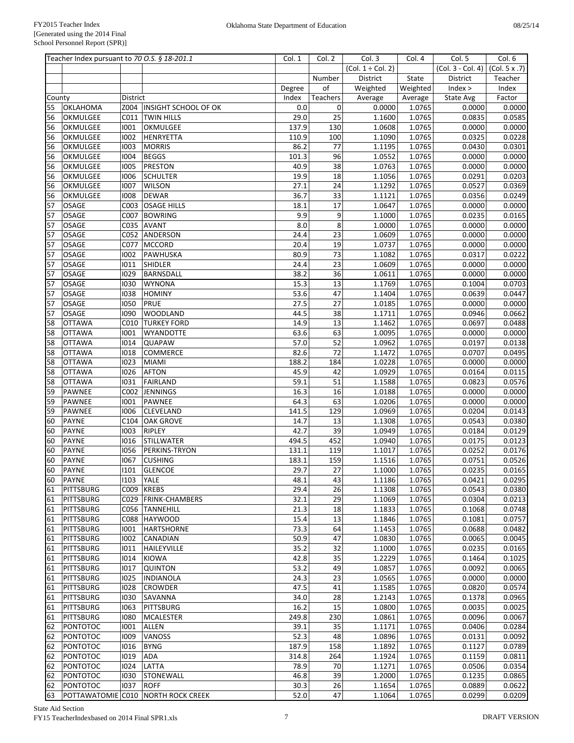|          | Teacher Index pursuant to 70 O.S. § 18-201.1 |              |                                    | Col. 1        | Col. 2    | Col. 3                 | Col. 4           | Col. 5            | Col. 6           |
|----------|----------------------------------------------|--------------|------------------------------------|---------------|-----------|------------------------|------------------|-------------------|------------------|
|          |                                              |              |                                    |               |           | $(Col. 1 \div Col. 2)$ |                  | (Col. 3 - Col. 4) | (Col. 5 x .7)    |
|          |                                              |              |                                    |               | Number    | District               | State            | District          | Teacher          |
|          |                                              |              |                                    | Degree        | of        | Weighted               | Weighted         | Index >           | Index            |
| County   |                                              | District     |                                    | Index         | Teachers  | Average                | Average          | State Avg         | Factor           |
| 55       | <b>OKLAHOMA</b>                              |              | Z004   INSIGHT SCHOOL OF OK        | 0.0           | 0         | 0.0000                 | 1.0765           | 0.0000            | 0.0000           |
| 56       | OKMULGEE                                     | C011         | <b>TWIN HILLS</b>                  | 29.0          | 25        | 1.1600                 | 1.0765           | 0.0835            | 0.0585           |
| 56       | OKMULGEE                                     | 1001         | OKMULGEE                           | 137.9         | 130       | 1.0608                 | 1.0765           | 0.0000            | 0.0000           |
| 56       | OKMULGEE                                     | 1002         | <b>HENRYETTA</b>                   | 110.9         | 100       | 1.1090                 | 1.0765           | 0.0325            | 0.0228           |
| 56       | OKMULGEE                                     | 1003         | <b>MORRIS</b>                      | 86.2          | 77        | 1.1195                 | 1.0765           | 0.0430            | 0.0301           |
| 56       | OKMULGEE                                     | 1004         | <b>BEGGS</b>                       | 101.3         | 96        | 1.0552                 | 1.0765           | 0.0000            | 0.0000           |
| 56       | OKMULGEE                                     | 1005         | <b>PRESTON</b>                     | 40.9          | 38        | 1.0763                 | 1.0765           | 0.0000            | 0.0000           |
| 56       | OKMULGEE                                     | 1006         | <b>SCHULTER</b>                    | 19.9          | 18        | 1.1056                 | 1.0765           | 0.0291            | 0.0203           |
| 56       | OKMULGEE                                     | 1007         | <b>WILSON</b>                      | 27.1          | 24        | 1.1292                 | 1.0765           | 0.0527            | 0.0369           |
| 56       | OKMULGEE                                     | 1008         | <b>DEWAR</b>                       | 36.7          | 33        | 1.1121                 | 1.0765           | 0.0356            | 0.0249           |
| 57       | <b>OSAGE</b>                                 |              | C003 OSAGE HILLS                   | 18.1          | 17        | 1.0647                 | 1.0765           | 0.0000            | 0.0000           |
| 57       | <b>OSAGE</b>                                 |              | C007 BOWRING                       | 9.9           | 9         | 1.1000                 | 1.0765           | 0.0235            | 0.0165           |
| 57       | OSAGE                                        |              | C035 AVANT                         | 8.0           | 8         | 1.0000                 | 1.0765           | 0.0000            | 0.0000           |
| 57       | <b>OSAGE</b>                                 | C052         | ANDERSON                           | 24.4          | 23        | 1.0609                 | 1.0765           | 0.0000            | 0.0000           |
| 57       | <b>OSAGE</b>                                 | C077         | <b>MCCORD</b>                      | 20.4          | 19        | 1.0737                 | 1.0765           | 0.0000            | 0.0000           |
| 57       | OSAGE                                        | 1002<br>1011 | PAWHUSKA                           | 80.9<br>24.4  | 73<br>23  | 1.1082                 | 1.0765           | 0.0317            | 0.0222           |
| 57       | OSAGE                                        |              | <b>SHIDLER</b><br><b>BARNSDALL</b> | 38.2          | 36        | 1.0609                 | 1.0765           | 0.0000            | 0.0000           |
| 57<br>57 | <b>OSAGE</b><br>OSAGE                        | 1029<br>1030 | <b>WYNONA</b>                      | 15.3          | 13        | 1.0611<br>1.1769       | 1.0765<br>1.0765 | 0.0000<br>0.1004  | 0.0000<br>0.0703 |
| 57       | OSAGE                                        | 1038         | <b>HOMINY</b>                      | 53.6          | 47        | 1.1404                 | 1.0765           | 0.0639            | 0.0447           |
| 57       | OSAGE                                        | 1050         | PRUE                               | 27.5          | 27        | 1.0185                 | 1.0765           | 0.0000            | 0.0000           |
| 57       | <b>OSAGE</b>                                 | 1090         | <b>WOODLAND</b>                    | 44.5          | 38        | 1.1711                 | 1.0765           | 0.0946            | 0.0662           |
| 58       | <b>OTTAWA</b>                                | C010         | <b>TURKEY FORD</b>                 | 14.9          | 13        | 1.1462                 | 1.0765           | 0.0697            | 0.0488           |
| 58       | <b>OTTAWA</b>                                | 1001         | <b>WYANDOTTE</b>                   | 63.6          | 63        | 1.0095                 | 1.0765           | 0.0000            | 0.0000           |
| 58       | <b>OTTAWA</b>                                | 1014         | <b>QUAPAW</b>                      | 57.0          | 52        | 1.0962                 | 1.0765           | 0.0197            | 0.0138           |
| 58       | <b>OTTAWA</b>                                | 1018         | <b>COMMERCE</b>                    | 82.6          | 72        | 1.1472                 | 1.0765           | 0.0707            | 0.0495           |
| 58       | <b>OTTAWA</b>                                | 1023         | <b>MIAMI</b>                       | 188.2         | 184       | 1.0228                 | 1.0765           | 0.0000            | 0.0000           |
| 58       | <b>OTTAWA</b>                                | 1026         | <b>AFTON</b>                       | 45.9          | 42        | 1.0929                 | 1.0765           | 0.0164            | 0.0115           |
| 58       | <b>OTTAWA</b>                                | 1031         | <b>FAIRLAND</b>                    | 59.1          | 51        | 1.1588                 | 1.0765           | 0.0823            | 0.0576           |
| 59       | PAWNEE                                       | C002         | JENNINGS                           | 16.3          | 16        | 1.0188                 | 1.0765           | 0.0000            | 0.0000           |
| 59       | PAWNEE                                       | 1001         | PAWNEE                             | 64.3          | 63        | 1.0206                 | 1.0765           | 0.0000            | 0.0000           |
| 59       | PAWNEE                                       | 1006         | <b>CLEVELAND</b>                   | 141.5         | 129       | 1.0969                 | 1.0765           | 0.0204            | 0.0143           |
| 60       | <b>PAYNE</b>                                 | C104         | <b>OAK GROVE</b>                   | 14.7          | 13        | 1.1308                 | 1.0765           | 0.0543            | 0.0380           |
| 60       | <b>PAYNE</b>                                 | 1003         | <b>RIPLEY</b>                      | 42.7          | 39        | 1.0949                 | 1.0765           | 0.0184            | 0.0129           |
| 60       | <b>PAYNE</b>                                 | 1016         | <b>STILLWATER</b>                  | 494.5         | 452       | 1.0940                 | 1.0765           | 0.0175            | 0.0123           |
| 60       | <b>PAYNE</b>                                 | 1056         | PERKINS-TRYON                      | 131.1         | 119       | 1.1017                 | 1.0765           | 0.0252            | 0.0176           |
| 60       | <b>PAYNE</b>                                 | 1067         | <b>CUSHING</b>                     | 183.1         | 159       | 1.1516                 | 1.0765           | 0.0751            | 0.0526           |
| 60       | <b>PAYNE</b>                                 | 1101         | <b>GLENCOE</b>                     | 29.7          | 27        | 1.1000                 | 1.0765           | 0.0235            | 0.0165           |
| 60       | <b>PAYNE</b>                                 | 1103         | <b>YALE</b>                        | 48.1          | 43        | 1.1186                 | 1.0765           | 0.0421            | 0.0295           |
| 61       | PITTSBURG                                    |              | C009 KREBS                         | 29.4          | 26        | 1.1308                 | 1.0765           | 0.0543            | 0.0380           |
| 61       | PITTSBURG                                    |              | C029   FRINK-CHAMBERS              | 32.1          | 29        | 1.1069                 | 1.0765           | 0.0304            | 0.0213           |
| 61       | PITTSBURG                                    |              | C056 TANNEHILL                     | 21.3          | 18        | 1.1833                 | 1.0765           | 0.1068            | 0.0748           |
| 61       | PITTSBURG                                    |              | C088 HAYWOOD                       | 15.4          | 13        | 1.1846                 | 1.0765           | 0.1081            | 0.0757           |
| 61       | PITTSBURG                                    | 1001         | <b>HARTSHORNE</b>                  | 73.3          | 64        | 1.1453                 | 1.0765           | 0.0688            | 0.0482           |
| 61       | PITTSBURG                                    | 1002         | CANADIAN                           | 50.9          | 47        | 1.0830                 | 1.0765           | 0.0065            | 0.0045           |
| 61       | PITTSBURG                                    | 1011         | <b>HAILEYVILLE</b>                 | 35.2          | 32        | 1.1000                 | 1.0765           | 0.0235            | 0.0165           |
| 61       | PITTSBURG                                    | 1014         | KIOWA                              | 42.8          | 35        | 1.2229                 | 1.0765           | 0.1464            | 0.1025           |
| 61       | PITTSBURG                                    | 1017         | <b>QUINTON</b>                     | 53.2          | 49        | 1.0857                 | 1.0765           | 0.0092            | 0.0065           |
| 61       | PITTSBURG                                    | 1025         | <b>INDIANOLA</b>                   | 24.3          | 23        | 1.0565                 | 1.0765           | 0.0000            | 0.0000           |
| 61       | PITTSBURG                                    | 1028         | <b>CROWDER</b>                     | 47.5          | 41        | 1.1585                 | 1.0765           | 0.0820            | 0.0574           |
| 61       | PITTSBURG                                    | 1030         | SAVANNA                            | 34.0          | 28        | 1.2143                 | 1.0765           | 0.1378            | 0.0965           |
| 61       | PITTSBURG                                    | 1063         | PITTSBURG                          | 16.2          | 15        | 1.0800                 | 1.0765           | 0.0035            | 0.0025           |
| 61<br>62 | PITTSBURG                                    | 1080<br>1001 | MCALESTER<br><b>ALLEN</b>          | 249.8<br>39.1 | 230<br>35 | 1.0861<br>1.1171       | 1.0765<br>1.0765 | 0.0096<br>0.0406  | 0.0067<br>0.0284 |
| 62       | PONTOTOC<br>PONTOTOC                         | 1009         | <b>VANOSS</b>                      | 52.3          | 48        | 1.0896                 | 1.0765           | 0.0131            | 0.0092           |
| 62       | PONTOTOC                                     | 1016         | <b>BYNG</b>                        | 187.9         | 158       | 1.1892                 | 1.0765           | 0.1127            | 0.0789           |
| 62       | PONTOTOC                                     | 1019         | ADA                                | 314.8         | 264       | 1.1924                 | 1.0765           | 0.1159            | 0.0811           |
| 62       | PONTOTOC                                     | 1024         | LATTA                              | 78.9          | 70        | 1.1271                 | 1.0765           | 0.0506            | 0.0354           |
| 62       | PONTOTOC                                     | 1030         | <b>STONEWALL</b>                   | 46.8          | 39        | 1.2000                 | 1.0765           | 0.1235            | 0.0865           |
| 62       | PONTOTOC                                     | 1037         | <b>ROFF</b>                        | 30.3          | 26        | 1.1654                 | 1.0765           | 0.0889            | 0.0622           |
| 63       |                                              |              | POTTAWATOMIE C010 NORTH ROCK CREEK | 52.0          | 47        | 1.1064                 | 1.0765           | 0.0299            | 0.0209           |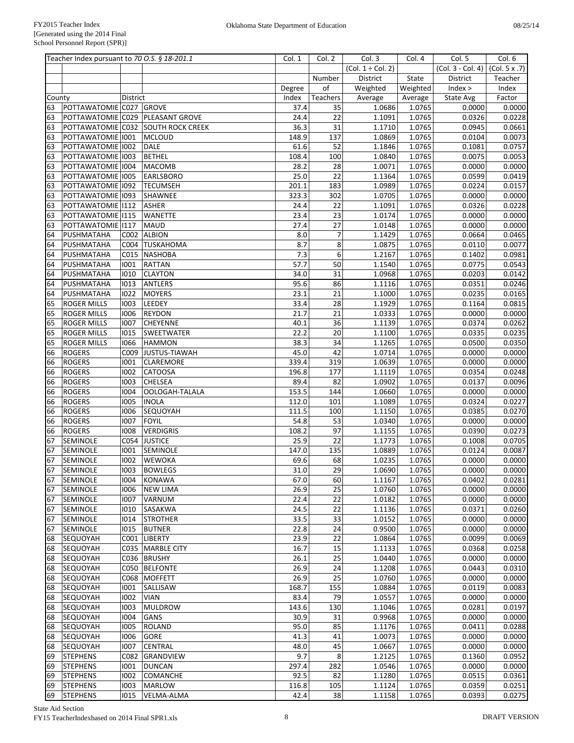|          | Teacher Index pursuant to 70 O.S. § 18-201.1 |              |                                    | Col. 1       | Col. 2          | Col.3                  | Col. 4           | Col. 5                              | Col. 6           |
|----------|----------------------------------------------|--------------|------------------------------------|--------------|-----------------|------------------------|------------------|-------------------------------------|------------------|
|          |                                              |              |                                    |              |                 | $(Col. 1 \div Col. 2)$ |                  | $(Col. 3 - Col. 4)$ $(Col. 5 x .7)$ |                  |
|          |                                              |              |                                    |              | Number          | District               | State            | District                            | Teacher          |
|          |                                              |              |                                    | Degree       | of              | Weighted               | Weighted         | Index >                             | Index            |
| County   |                                              | District     |                                    | Index        | Teachers        | Average                | Average          | State Avg                           | Factor           |
| 63       | POTTAWATOMIE C027 GROVE                      |              |                                    | 37.4         | 35              | 1.0686                 | 1.0765           | 0.0000                              | 0.0000           |
| 63       |                                              |              | POTTAWATOMIE C029   PLEASANT GROVE | 24.4         | 22              | 1.1091                 | 1.0765           | 0.0326                              | 0.0228           |
| 63       |                                              |              | POTTAWATOMIE C032 SOUTH ROCK CREEK | 36.3         | 31              | 1.1710                 | 1.0765           | 0.0945                              | 0.0661           |
| 63       | POTTAWATOMIE 1001                            |              | <b>MCLOUD</b>                      | 148.9        | 137             | 1.0869                 | 1.0765           | 0.0104                              | 0.0073           |
| 63       | POTTAWATOMIE 1002                            |              | <b>DALE</b>                        | 61.6         | 52              | 1.1846                 | 1.0765           | 0.1081                              | 0.0757           |
| 63       | POTTAWATOMIE 1003                            |              | <b>BETHEL</b>                      | 108.4        | 100             | 1.0840                 | 1.0765           | 0.0075                              | 0.0053           |
| 63       | POTTAWATOMIE 1004                            |              | <b>MACOMB</b>                      | 28.2         | 28              | 1.0071                 | 1.0765           | 0.0000                              | 0.0000           |
| 63       | POTTAWATOMIE 1005                            |              | <b>EARLSBORO</b>                   | 25.0         | 22              | 1.1364                 | 1.0765           | 0.0599                              | 0.0419           |
| 63       | POTTAWATOMIE 1092                            |              | <b>TECUMSEH</b>                    | 201.1        | 183             | 1.0989                 | 1.0765           | 0.0224                              | 0.0157           |
| 63       | POTTAWATOMIE 1093                            |              | <b>SHAWNEE</b>                     | 323.3        | 302             | 1.0705                 | 1.0765           | 0.0000                              | 0.0000           |
| 63       | POTTAWATOMIE   112                           |              | <b>ASHER</b>                       | 24.4         | 22              | 1.1091                 | 1.0765           | 0.0326                              | 0.0228           |
| 63       | POTTAWATOMIE 1115                            |              | <b>WANETTE</b>                     | 23.4         | 23              | 1.0174                 | 1.0765           | 0.0000                              | 0.0000           |
| 63       | POTTAWATOMIE 1117                            |              | <b>MAUD</b><br><b>ALBION</b>       | 27.4         | 27              | 1.0148                 | 1.0765           | 0.0000                              | 0.0000           |
| 64<br>64 | PUSHMATAHA<br>PUSHMATAHA                     | C002         | C004 TUSKAHOMA                     | 8.0<br>8.7   | 7<br>8          | 1.1429<br>1.0875       | 1.0765<br>1.0765 | 0.0664<br>0.0110                    | 0.0465<br>0.0077 |
| 64       | PUSHMATAHA                                   | C015         | <b>NASHOBA</b>                     | 7.3          | 6               | 1.2167                 | 1.0765           | 0.1402                              | 0.0981           |
| 64       | PUSHMATAHA                                   | 1001         | <b>RATTAN</b>                      | 57.7         | 50              | 1.1540                 | 1.0765           | 0.0775                              | 0.0543           |
| 64       | PUSHMATAHA                                   | 1010         | <b>CLAYTON</b>                     | 34.0         | 31              | 1.0968                 | 1.0765           | 0.0203                              | 0.0142           |
| 64       | PUSHMATAHA                                   | 1013         | <b>ANTLERS</b>                     | 95.6         | 86              | 1.1116                 | 1.0765           | 0.0351                              | 0.0246           |
| 64       | PUSHMATAHA                                   | 1022         | <b>MOYERS</b>                      | 23.1         | 21              | 1.1000                 | 1.0765           | 0.0235                              | 0.0165           |
| 65       | <b>ROGER MILLS</b>                           | 1003         | LEEDEY                             | 33.4         | 28              | 1.1929                 | 1.0765           | 0.1164                              | 0.0815           |
| 65       | <b>ROGER MILLS</b>                           | 1006         | <b>REYDON</b>                      | 21.7         | 21              | 1.0333                 | 1.0765           | 0.0000                              | 0.0000           |
| 65       | <b>ROGER MILLS</b>                           | 1007         | <b>CHEYENNE</b>                    | 40.1         | $\overline{36}$ | 1.1139                 | 1.0765           | 0.0374                              | 0.0262           |
| 65       | <b>ROGER MILLS</b>                           | 1015         | <b>SWEETWATER</b>                  | 22.2         | 20              | 1.1100                 | 1.0765           | 0.0335                              | 0.0235           |
| 65       | <b>ROGER MILLS</b>                           | 1066         | <b>HAMMON</b>                      | 38.3         | 34              | 1.1265                 | 1.0765           | 0.0500                              | 0.0350           |
| 66       | <b>ROGERS</b>                                |              | C009 JUSTUS-TIAWAH                 | 45.0         | 42              | 1.0714                 | 1.0765           | 0.0000                              | 0.0000           |
| 66       | <b>ROGERS</b>                                | 1001         | <b>CLAREMORE</b>                   | 339.4        | 319             | 1.0639                 | 1.0765           | 0.0000                              | 0.0000           |
| 66       | <b>ROGERS</b>                                | 1002         | <b>CATOOSA</b>                     | 196.8        | 177             | 1.1119                 | 1.0765           | 0.0354                              | 0.0248           |
| 66       | <b>ROGERS</b>                                | 1003         | <b>CHELSEA</b>                     | 89.4         | 82              | 1.0902                 | 1.0765           | 0.0137                              | 0.0096           |
| 66       | <b>ROGERS</b>                                | 1004         | OOLOGAH-TALALA                     | 153.5        | 144             | 1.0660                 | 1.0765           | 0.0000                              | 0.0000           |
| 66       | <b>ROGERS</b>                                | 1005         | <b>INOLA</b>                       | 112.0        | 101             | 1.1089                 | 1.0765           | 0.0324                              | 0.0227           |
| 66       | <b>ROGERS</b>                                | 1006         | SEQUOYAH                           | 111.5        | 100             | 1.1150                 | 1.0765           | 0.0385                              | 0.0270           |
| 66       | <b>ROGERS</b>                                | 1007         | FOYIL                              | 54.8         | 53              | 1.0340                 | 1.0765           | 0.0000                              | 0.0000           |
| 66       | <b>ROGERS</b>                                | 1008         | <b>VERDIGRIS</b>                   | 108.2        | 97              | 1.1155                 | 1.0765           | 0.0390                              | 0.0273           |
| 67       | <b>SEMINOLE</b>                              | C054         | <b>JUSTICE</b>                     | 25.9         | 22              | 1.1773                 | 1.0765           | 0.1008                              | 0.0705           |
| 67       | <b>SEMINOLE</b>                              | 1001         | <b>SEMINOLE</b>                    | 147.0        | 135             | 1.0889                 | 1.0765           | 0.0124                              | 0.0087           |
| 67       | SEMINOLE                                     | 1002         | <b>WEWOKA</b>                      | 69.6         | 68              | 1.0235                 | 1.0765           | 0.0000                              | 0.0000           |
| 67       | <b>SEMINOLE</b>                              | 1003         | <b>BOWLEGS</b>                     | 31.0         | 29              | 1.0690                 | 1.0765           | 0.0000                              | 0.0000           |
| 67       | <b>SEMINOLE</b>                              | 1004         | KONAWA                             | 67.0         | 60              | 1.1167                 | 1.0765           | 0.0402                              | 0.0281           |
| 67       | <b>SEMINOLE</b>                              | 1006         | <b>NEW LIMA</b>                    | 26.9         | 25              | 1.0760                 | 1.0765           | 0.0000                              | 0.0000           |
| 67       | <b>SEMINOLE</b>                              | 1007         | <b>VARNUM</b>                      | 22.4         | 22              | 1.0182                 | 1.0765           | 0.0000                              | 0.0000           |
| 67<br>67 | SEMINOLE<br><b>SEMINOLE</b>                  | 1010         | SASAKWA<br><b>STROTHER</b>         | 24.5<br>33.5 | 22<br>33        | 1.1136<br>1.0152       | 1.0765<br>1.0765 | 0.0371<br>0.0000                    | 0.0260<br>0.0000 |
| 67       | <b>SEMINOLE</b>                              | 1014<br>1015 | <b>BUTNER</b>                      | 22.8         | 24              | 0.9500                 | 1.0765           | 0.0000                              | 0.0000           |
| 68       | SEQUOYAH                                     |              | C001 LIBERTY                       | 23.9         | 22              | 1.0864                 | 1.0765           | 0.0099                              | 0.0069           |
| 68       | SEQUOYAH                                     |              | C035   MARBLE CITY                 | 16.7         | 15              | 1.1133                 | 1.0765           | 0.0368                              | 0.0258           |
| 68       | SEQUOYAH                                     |              | C036 BRUSHY                        | 26.1         | 25              | 1.0440                 | 1.0765           | 0.0000                              | 0.0000           |
| 68       | SEQUOYAH                                     |              | C050 BELFONTE                      | 26.9         | 24              | 1.1208                 | 1.0765           | 0.0443                              | 0.0310           |
| 68       | SEQUOYAH                                     |              | C068 MOFFETT                       | 26.9         | 25              | 1.0760                 | 1.0765           | 0.0000                              | 0.0000           |
| 68       | SEQUOYAH                                     | 1001         | SALLISAW                           | 168.7        | 155             | 1.0884                 | 1.0765           | 0.0119                              | 0.0083           |
| 68       | SEQUOYAH                                     | 1002         | <b>VIAN</b>                        | 83.4         | 79              | 1.0557                 | 1.0765           | 0.0000                              | 0.0000           |
| 68       | SEQUOYAH                                     | 1003         | <b>MULDROW</b>                     | 143.6        | 130             | 1.1046                 | 1.0765           | 0.0281                              | 0.0197           |
| 68       | SEQUOYAH                                     | 1004         | <b>GANS</b>                        | 30.9         | 31              | 0.9968                 | 1.0765           | 0.0000                              | 0.0000           |
| 68       | SEQUOYAH                                     | 1005         | <b>ROLAND</b>                      | 95.0         | 85              | 1.1176                 | 1.0765           | 0.0411                              | 0.0288           |
| 68       | SEQUOYAH                                     | 1006         | <b>GORE</b>                        | 41.3         | 41              | 1.0073                 | 1.0765           | 0.0000                              | 0.0000           |
| 68       | SEQUOYAH                                     | 1007         | <b>CENTRAL</b>                     | 48.0         | 45              | 1.0667                 | 1.0765           | 0.0000                              | 0.0000           |
| 69       | <b>STEPHENS</b>                              | C082         | GRANDVIEW                          | 9.7          | $\,8\,$         | 1.2125                 | 1.0765           | 0.1360                              | 0.0952           |
| 69       | <b>STEPHENS</b>                              | 1001         | <b>DUNCAN</b>                      | 297.4        | 282             | 1.0546                 | 1.0765           | 0.0000                              | 0.0000           |
| 69       | <b>STEPHENS</b>                              | 1002         | <b>COMANCHE</b>                    | 92.5         | 82              | 1.1280                 | 1.0765           | 0.0515                              | 0.0361           |
| 69       | <b>STEPHENS</b>                              | 1003         | <b>MARLOW</b>                      | 116.8        | 105             | 1.1124                 | 1.0765           | 0.0359                              | 0.0251           |
| 69       | <b>STEPHENS</b>                              | 1015         | <b>VELMA-ALMA</b>                  | 42.4         | 38              | 1.1158                 | 1.0765           | 0.0393                              | 0.0275           |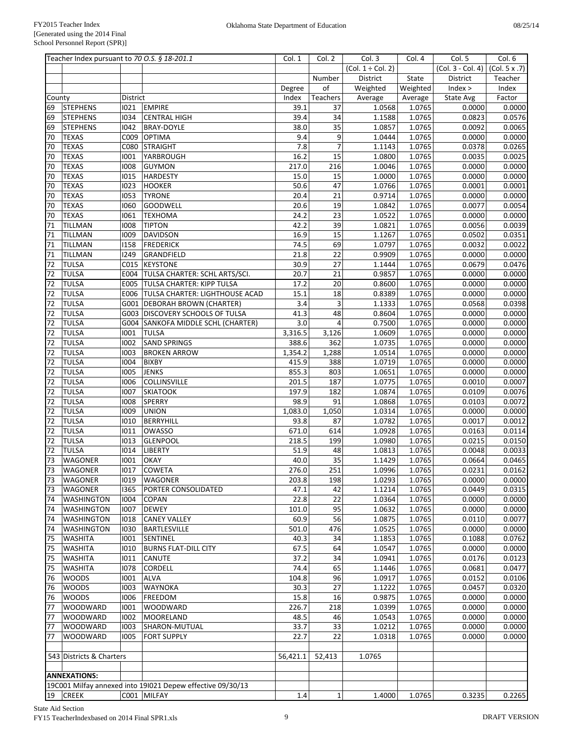|        | Teacher Index pursuant to 70 O.S. § 18-201.1 |          |                                                            | Col. 1   | Col. 2          | Col. 3                 | Col. 4   | Col. 5              | Col. 6              |
|--------|----------------------------------------------|----------|------------------------------------------------------------|----------|-----------------|------------------------|----------|---------------------|---------------------|
|        |                                              |          |                                                            |          |                 | $(Col. 1 \div Col. 2)$ |          | $(Col. 3 - Col. 4)$ | (Col. 5 x .7)       |
|        |                                              |          |                                                            |          | Number          | District               | State    | District            | Teacher             |
|        |                                              |          |                                                            | Degree   | of              | Weighted               | Weighted | Index >             | Index               |
| County |                                              | District |                                                            | Index    | Teachers        | Average                | Average  | State Avg           | Factor              |
| 69     | <b>STEPHENS</b>                              | 1021     | <b>EMPIRE</b>                                              | 39.1     | 37              | 1.0568                 | 1.0765   | 0.0000              | $\overline{0.0000}$ |
| 69     | <b>STEPHENS</b>                              | 1034     | <b>CENTRAL HIGH</b>                                        | 39.4     | 34              | 1.1588                 | 1.0765   | 0.0823              | 0.0576              |
| 69     | <b>STEPHENS</b>                              | 1042     | <b>BRAY-DOYLE</b>                                          | 38.0     | $\overline{35}$ | 1.0857                 | 1.0765   | 0.0092              | 0.0065              |
| 70     | <b>TEXAS</b>                                 | C009     | OPTIMA                                                     | 9.4      | 9               | 1.0444                 | 1.0765   | 0.0000              | 0.0000              |
| 70     | <b>TEXAS</b>                                 | C080     | <b>STRAIGHT</b>                                            | 7.8      | $\overline{7}$  | 1.1143                 | 1.0765   | 0.0378              | 0.0265              |
| 70     | <b>TEXAS</b>                                 | 1001     | YARBROUGH                                                  | 16.2     | 15              | 1.0800                 | 1.0765   | 0.0035              | 0.0025              |
| 70     | <b>TEXAS</b>                                 | 1008     | <b>GUYMON</b>                                              | 217.0    | 216             | 1.0046                 | 1.0765   | 0.0000              | 0.0000              |
| 70     | <b>TEXAS</b>                                 | 1015     | <b>HARDESTY</b>                                            | 15.0     | 15              | 1.0000                 | 1.0765   | 0.0000              | 0.0000              |
| 70     |                                              |          |                                                            | 50.6     | 47              |                        |          |                     |                     |
|        | <b>TEXAS</b>                                 | 1023     | <b>HOOKER</b>                                              |          |                 | 1.0766                 | 1.0765   | 0.0001              | 0.0001              |
| 70     | <b>TEXAS</b>                                 | 1053     | <b>TYRONE</b>                                              | 20.4     | 21              | 0.9714                 | 1.0765   | 0.0000              | 0.0000              |
| 70     | <b>TEXAS</b>                                 | 1060     | <b>GOODWELL</b>                                            | 20.6     | 19              | 1.0842                 | 1.0765   | 0.0077              | 0.0054              |
| 70     | <b>TEXAS</b>                                 | 1061     | <b>TEXHOMA</b>                                             | 24.2     | $\overline{23}$ | 1.0522                 | 1.0765   | 0.0000              | 0.0000              |
| 71     | TILLMAN                                      | 1008     | <b>TIPTON</b>                                              | 42.2     | 39              | 1.0821                 | 1.0765   | 0.0056              | 0.0039              |
| 71     | TILLMAN                                      | 1009     | <b>DAVIDSON</b>                                            | 16.9     | 15              | 1.1267                 | 1.0765   | 0.0502              | 0.0351              |
| 71     | TILLMAN                                      | 1158     | <b>FREDERICK</b>                                           | 74.5     | 69              | 1.0797                 | 1.0765   | 0.0032              | 0.0022              |
| 71     | TILLMAN                                      | 1249     | GRANDFIELD                                                 | 21.8     | 22              | 0.9909                 | 1.0765   | 0.0000              | 0.0000              |
| 72     | <b>TULSA</b>                                 | C015     | <b>KEYSTONE</b>                                            | 30.9     | 27              | 1.1444                 | 1.0765   | 0.0679              | 0.0476              |
| 72     | <b>TULSA</b>                                 | E004     | TULSA CHARTER: SCHL ARTS/SCI.                              | 20.7     | 21              | 0.9857                 | 1.0765   | 0.0000              | 0.0000              |
| 72     | <b>TULSA</b>                                 | E005     | <b>TULSA CHARTER: KIPP TULSA</b>                           | 17.2     | 20              | 0.8600                 | 1.0765   | 0.0000              | 0.0000              |
| 72     | <b>TULSA</b>                                 |          | E006   TULSA CHARTER: LIGHTHOUSE ACAD                      | 15.1     | 18              | 0.8389                 | 1.0765   | 0.0000              | 0.0000              |
| 72     | <b>TULSA</b>                                 |          | G001 DEBORAH BROWN (CHARTER)                               | 3.4      | 3               | 1.1333                 | 1.0765   | 0.0568              | 0.0398              |
| 72     | <b>TULSA</b>                                 | G003     | <b>DISCOVERY SCHOOLS OF TULSA</b>                          | 41.3     | 48              | 0.8604                 | 1.0765   | 0.0000              | 0.0000              |
| 72     | <b>TULSA</b>                                 |          | G004 SANKOFA MIDDLE SCHL (CHARTER)                         | 3.0      | $\overline{4}$  | 0.7500                 | 1.0765   | 0.0000              | 0.0000              |
| 72     | <b>TULSA</b>                                 | 1001     | <b>TULSA</b>                                               | 3,316.5  | 3,126           | 1.0609                 | 1.0765   | 0.0000              | 0.0000              |
| 72     |                                              | 1002     |                                                            |          |                 |                        |          |                     |                     |
|        | <b>TULSA</b>                                 |          | <b>SAND SPRINGS</b>                                        | 388.6    | 362             | 1.0735                 | 1.0765   | 0.0000              | 0.0000              |
| 72     | <b>TULSA</b>                                 | 1003     | <b>BROKEN ARROW</b>                                        | 1,354.2  | 1,288           | 1.0514                 | 1.0765   | 0.0000              | 0.0000              |
| 72     | <b>TULSA</b>                                 | 1004     | <b>BIXBY</b>                                               | 415.9    | 388             | 1.0719                 | 1.0765   | 0.0000              | 0.0000              |
| 72     | <b>TULSA</b>                                 | 1005     | <b>JENKS</b>                                               | 855.3    | 803             | 1.0651                 | 1.0765   | 0.0000              | 0.0000              |
| 72     | <b>TULSA</b>                                 | 1006     | COLLINSVILLE                                               | 201.5    | 187             | 1.0775                 | 1.0765   | 0.0010              | 0.0007              |
| 72     | <b>TULSA</b>                                 | 1007     | <b>SKIATOOK</b>                                            | 197.9    | 182             | 1.0874                 | 1.0765   | 0.0109              | 0.0076              |
| 72     | <b>TULSA</b>                                 | 1008     | <b>SPERRY</b>                                              | 98.9     | 91              | 1.0868                 | 1.0765   | 0.0103              | 0.0072              |
| 72     | <b>TULSA</b>                                 | 1009     | <b>UNION</b>                                               | 1,083.0  | 1,050           | 1.0314                 | 1.0765   | 0.0000              | 0.0000              |
| 72     | <b>TULSA</b>                                 | 1010     | <b>BERRYHILL</b>                                           | 93.8     | 87              | 1.0782                 | 1.0765   | 0.0017              | 0.0012              |
| 72     | <b>TULSA</b>                                 | 1011     | <b>OWASSO</b>                                              | 671.0    | 614             | 1.0928                 | 1.0765   | 0.0163              | 0.0114              |
| 72     | <b>TULSA</b>                                 | 1013     | GLENPOOL                                                   | 218.5    | 199             | 1.0980                 | 1.0765   | 0.0215              | 0.0150              |
| 72     | <b>TULSA</b>                                 | 1014     | <b>LIBERTY</b>                                             | 51.9     | 48              | 1.0813                 | 1.0765   | 0.0048              | 0.0033              |
| 73     | <b>WAGONER</b>                               | 1001     | <b>OKAY</b>                                                | 40.0     | 35              | 1.1429                 | 1.0765   | 0.0664              | 0.0465              |
| 73     | <b>WAGONER</b>                               | 1017     | <b>COWETA</b>                                              | 276.0    | 251             | 1.0996                 | 1.0765   | 0.0231              | 0.0162              |
| 73     | <b>WAGONER</b>                               | 1019     | <b>WAGONER</b>                                             | 203.8    | 198             | 1.0293                 | 1.0765   | 0.0000              | 0.0000              |
| 73     | <b>WAGONER</b>                               | 1365     | PORTER CONSOLIDATED                                        | 47.1     | 42              | 1.1214                 | 1.0765   | 0.0449              | 0.0315              |
| 74     | <b>WASHINGTON</b>                            | 1004     | COPAN                                                      | 22.8     | 22              | 1.0364                 | 1.0765   | 0.0000              | 0.0000              |
| 74     | <b>WASHINGTON</b>                            | 1007     | <b>DEWEY</b>                                               | 101.0    | 95              | 1.0632                 | 1.0765   | 0.0000              | 0.0000              |
| 74     | <b>WASHINGTON</b>                            | 1018     |                                                            | 60.9     | 56              | 1.0875                 | 1.0765   | 0.0110              | 0.0077              |
|        |                                              |          | <b>CANEY VALLEY</b>                                        |          |                 |                        |          | 0.0000              | 0.0000              |
| 74     | <b>WASHINGTON</b>                            | 1030     | BARTLESVILLE                                               | 501.0    | 476             | 1.0525                 | 1.0765   |                     |                     |
| 75     | <b>WASHITA</b>                               | 1001     | SENTINEL                                                   | 40.3     | 34              | 1.1853                 | 1.0765   | 0.1088              | 0.0762              |
| 75     | <b>WASHITA</b>                               | 1010     | <b>BURNS FLAT-DILL CITY</b>                                | 67.5     | 64              | 1.0547                 | 1.0765   | 0.0000              | 0.0000              |
| 75     | <b>WASHITA</b>                               | 1011     | CANUTE                                                     | 37.2     | 34              | 1.0941                 | 1.0765   | 0.0176              | 0.0123              |
| 75     | <b>WASHITA</b>                               | 1078     | CORDELL                                                    | 74.4     | 65              | 1.1446                 | 1.0765   | 0.0681              | 0.0477              |
| 76     | <b>WOODS</b>                                 | 1001     | <b>ALVA</b>                                                | 104.8    | 96              | 1.0917                 | 1.0765   | 0.0152              | 0.0106              |
| 76     | <b>WOODS</b>                                 | 1003     | <b>WAYNOKA</b>                                             | 30.3     | 27              | 1.1222                 | 1.0765   | 0.0457              | 0.0320              |
| 76     | <b>WOODS</b>                                 | 1006     | <b>FREEDOM</b>                                             | 15.8     | 16              | 0.9875                 | 1.0765   | 0.0000              | 0.0000              |
| 77     | <b>WOODWARD</b>                              | 1001     | WOODWARD                                                   | 226.7    | 218             | 1.0399                 | 1.0765   | 0.0000              | 0.0000              |
| 77     | <b>WOODWARD</b>                              | 1002     | MOORELAND                                                  | 48.5     | 46              | 1.0543                 | 1.0765   | 0.0000              | 0.0000              |
| 77     | <b>WOODWARD</b>                              | 1003     | SHARON-MUTUAL                                              | 33.7     | 33              | 1.0212                 | 1.0765   | 0.0000              | 0.0000              |
| 77     | <b>WOODWARD</b>                              | 1005     | <b>FORT SUPPLY</b>                                         | 22.7     | 22              | 1.0318                 | 1.0765   | 0.0000              | 0.0000              |
|        |                                              |          |                                                            |          |                 |                        |          |                     |                     |
|        | 543 Districts & Charters                     |          |                                                            | 56,421.1 | 52,413          | 1.0765                 |          |                     |                     |
|        |                                              |          |                                                            |          |                 |                        |          |                     |                     |
|        | <b>ANNEXATIONS:</b>                          |          |                                                            |          |                 |                        |          |                     |                     |
|        |                                              |          | 19C001 Milfay annexed into 191021 Depew effective 09/30/13 |          |                 |                        |          |                     |                     |
|        | $19$ CREEK                                   |          | C001 MILFAY                                                | 1.4      | $\mathbf{1}$    | 1.4000                 | 1.0765   | 0.3235              |                     |
|        |                                              |          |                                                            |          |                 |                        |          |                     | 0.2265              |